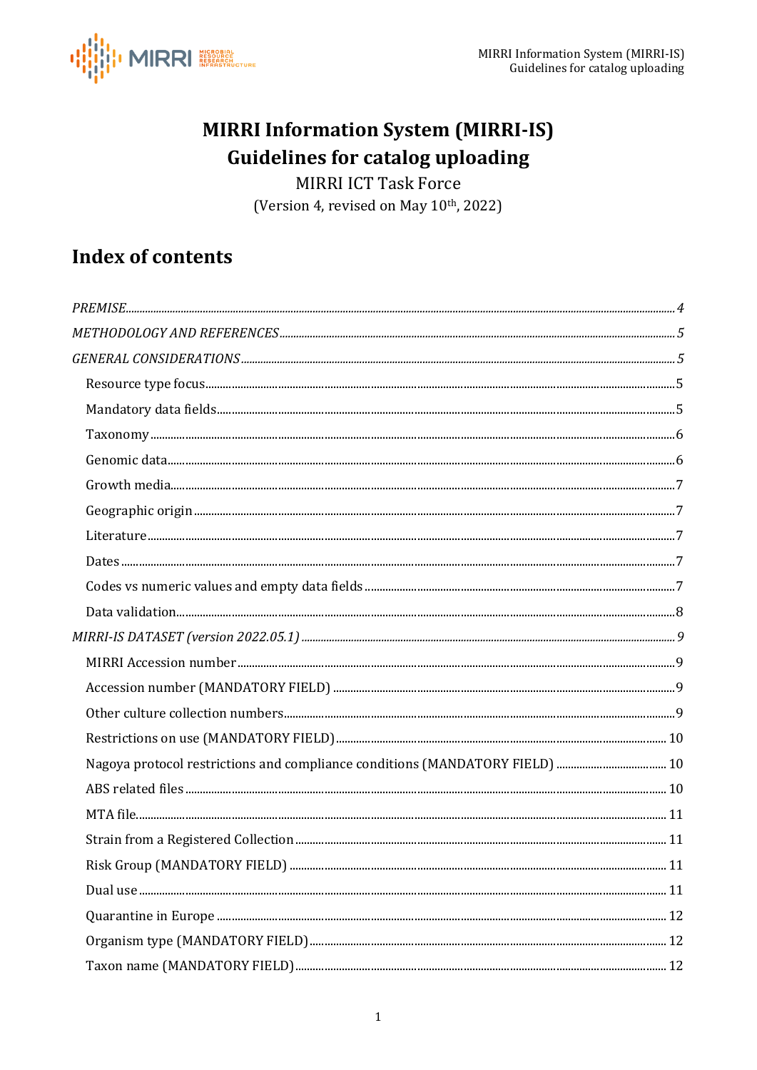

## **MIRRI Information System (MIRRI-IS) Guidelines for catalog uploading**

MIRRI ICT Task Force (Version 4, revised on May 10th, 2022)

## **Index of contents**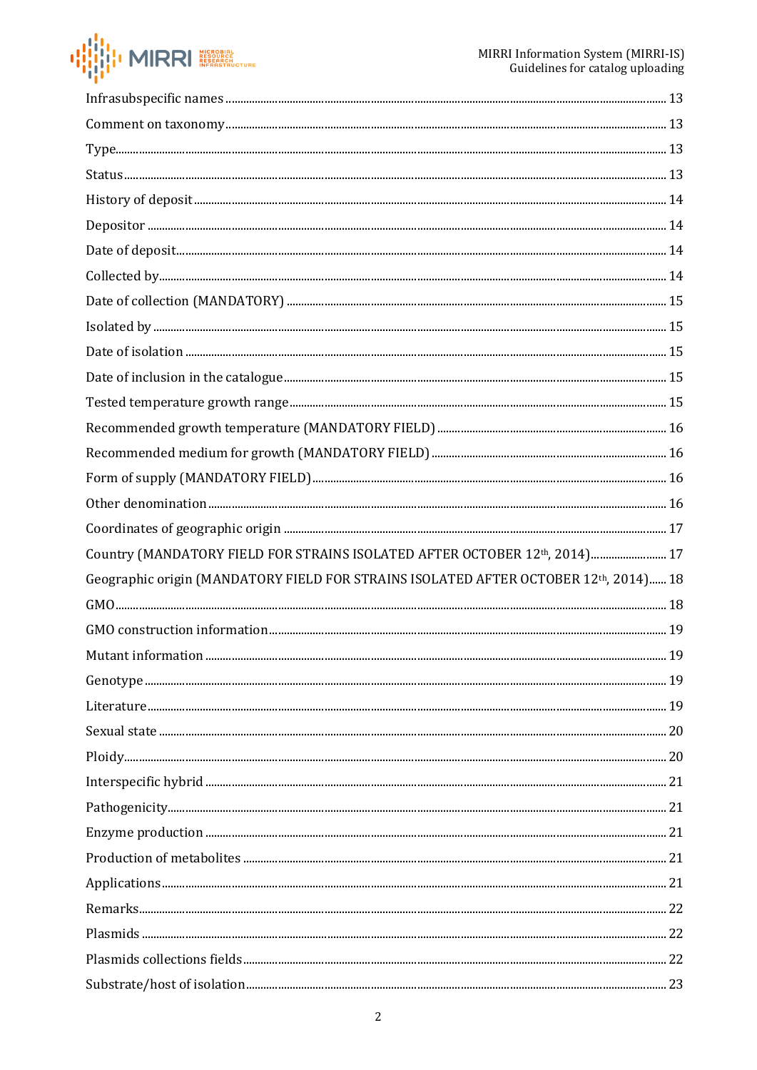

| ${\bf Comment~on~taxonomy.} \\ {\bf 13}$                                             |  |
|--------------------------------------------------------------------------------------|--|
|                                                                                      |  |
|                                                                                      |  |
|                                                                                      |  |
|                                                                                      |  |
|                                                                                      |  |
|                                                                                      |  |
|                                                                                      |  |
|                                                                                      |  |
|                                                                                      |  |
|                                                                                      |  |
|                                                                                      |  |
|                                                                                      |  |
|                                                                                      |  |
|                                                                                      |  |
|                                                                                      |  |
|                                                                                      |  |
| Country (MANDATORY FIELD FOR STRAINS ISOLATED AFTER OCTOBER 12th, 2014) 17           |  |
| Geographic origin (MANDATORY FIELD FOR STRAINS ISOLATED AFTER OCTOBER 12th, 2014) 18 |  |
|                                                                                      |  |
|                                                                                      |  |
|                                                                                      |  |
|                                                                                      |  |
|                                                                                      |  |
|                                                                                      |  |
|                                                                                      |  |
|                                                                                      |  |
|                                                                                      |  |
|                                                                                      |  |
|                                                                                      |  |
|                                                                                      |  |
|                                                                                      |  |
|                                                                                      |  |
|                                                                                      |  |
|                                                                                      |  |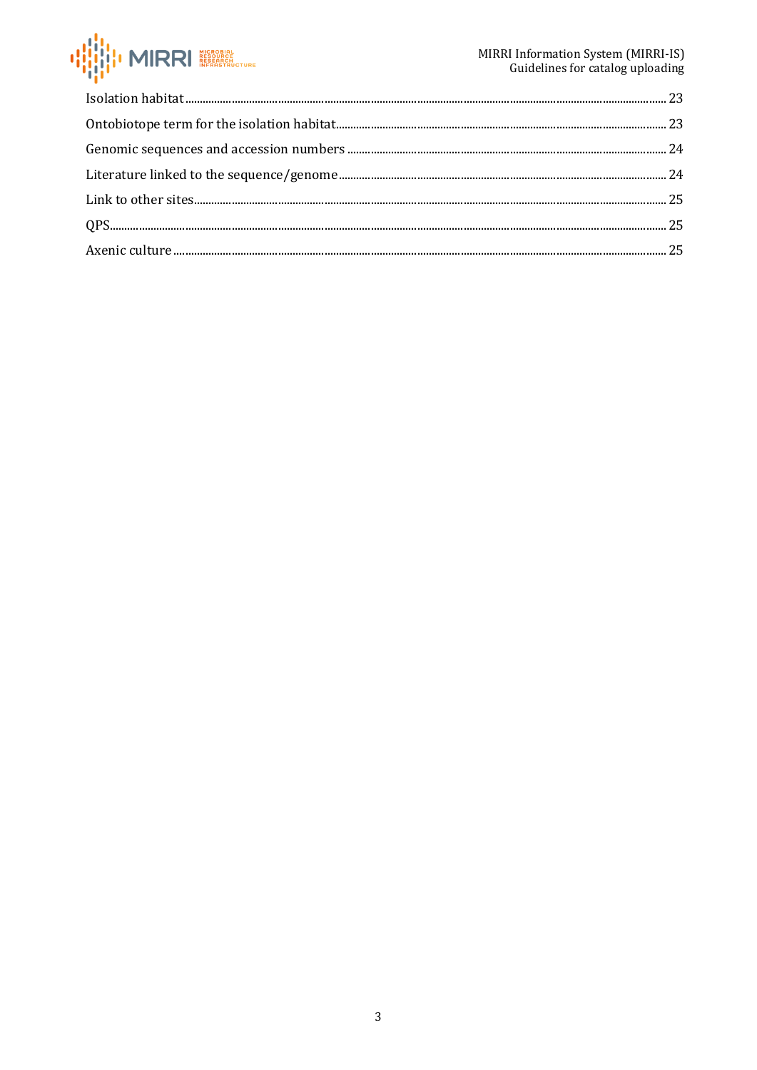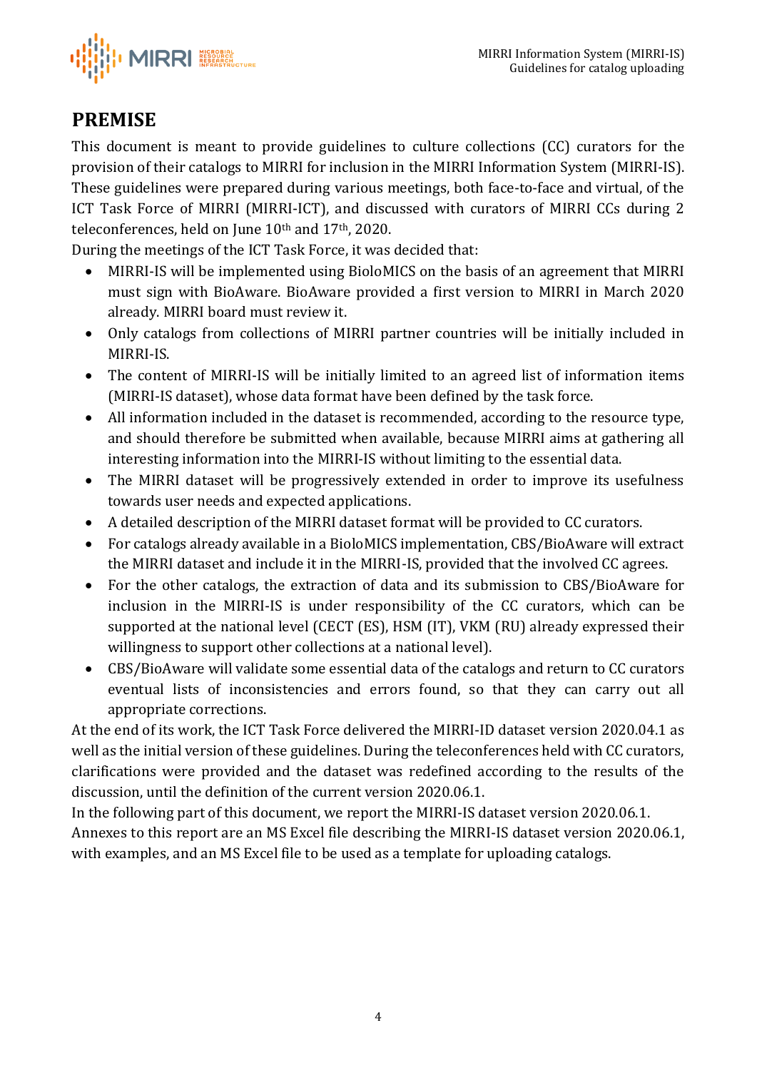I MIRRI NEROBIAL

## <span id="page-3-0"></span>**PREMISE**

This document is meant to provide guidelines to culture collections (CC) curators for the provision of their catalogs to MIRRI for inclusion in the MIRRI Information System (MIRRI-IS). These guidelines were prepared during various meetings, both face-to-face and virtual, of the ICT Task Force of MIRRI (MIRRI-ICT), and discussed with curators of MIRRI CCs during 2 teleconferences, held on June 10th and 17th, 2020.

During the meetings of the ICT Task Force, it was decided that:

- MIRRI-IS will be implemented using BioloMICS on the basis of an agreement that MIRRI must sign with BioAware. BioAware provided a first version to MIRRI in March 2020 already. MIRRI board must review it.
- Only catalogs from collections of MIRRI partner countries will be initially included in MIRRI-IS.
- The content of MIRRI-IS will be initially limited to an agreed list of information items (MIRRI-IS dataset), whose data format have been defined by the task force.
- All information included in the dataset is recommended, according to the resource type, and should therefore be submitted when available, because MIRRI aims at gathering all interesting information into the MIRRI-IS without limiting to the essential data.
- The MIRRI dataset will be progressively extended in order to improve its usefulness towards user needs and expected applications.
- A detailed description of the MIRRI dataset format will be provided to CC curators.
- For catalogs already available in a BioloMICS implementation, CBS/BioAware will extract the MIRRI dataset and include it in the MIRRI-IS, provided that the involved CC agrees.
- For the other catalogs, the extraction of data and its submission to CBS/BioAware for inclusion in the MIRRI-IS is under responsibility of the CC curators, which can be supported at the national level (CECT (ES), HSM (IT), VKM (RU) already expressed their willingness to support other collections at a national level).
- CBS/BioAware will validate some essential data of the catalogs and return to CC curators eventual lists of inconsistencies and errors found, so that they can carry out all appropriate corrections.

At the end of its work, the ICT Task Force delivered the MIRRI-ID dataset version 2020.04.1 as well as the initial version of these guidelines. During the teleconferences held with CC curators, clarifications were provided and the dataset was redefined according to the results of the discussion, until the definition of the current version 2020.06.1.

In the following part of this document, we report the MIRRI-IS dataset version 2020.06.1.

Annexes to this report are an MS Excel file describing the MIRRI-IS dataset version 2020.06.1, with examples, and an MS Excel file to be used as a template for uploading catalogs.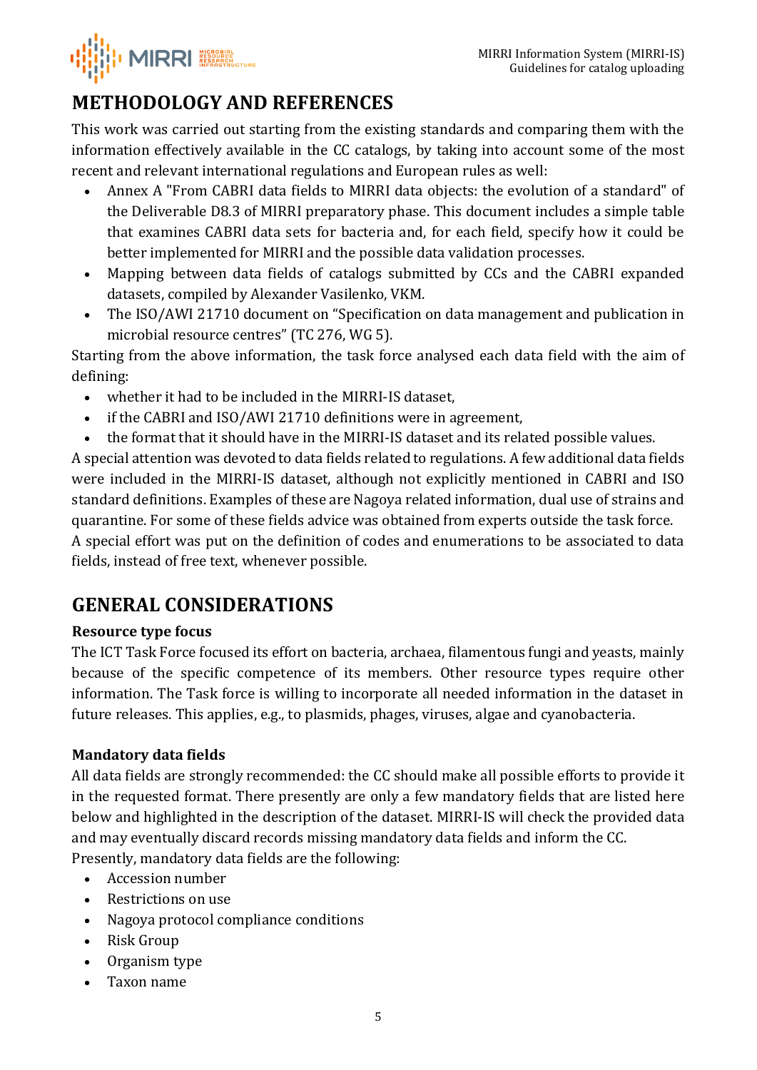

# <span id="page-4-0"></span>**METHODOLOGY AND REFERENCES**

This work was carried out starting from the existing standards and comparing them with the information effectively available in the CC catalogs, by taking into account some of the most recent and relevant international regulations and European rules as well:

- Annex A "From CABRI data fields to MIRRI data objects: the evolution of a standard" of the Deliverable D8.3 of MIRRI preparatory phase. This document includes a simple table that examines CABRI data sets for bacteria and, for each field, specify how it could be better implemented for MIRRI and the possible data validation processes.
- Mapping between data fields of catalogs submitted by CCs and the CABRI expanded datasets, compiled by Alexander Vasilenko, VKM.
- The ISO/AWI 21710 document on "Specification on data management and publication in microbial resource centres" (TC 276, WG 5).

Starting from the above information, the task force analysed each data field with the aim of defining:

- whether it had to be included in the MIRRI-IS dataset,
- if the CABRI and ISO/AWI 21710 definitions were in agreement,
- the format that it should have in the MIRRI-IS dataset and its related possible values.

A special attention was devoted to data fields related to regulations. A few additional data fields were included in the MIRRI-IS dataset, although not explicitly mentioned in CABRI and ISO standard definitions. Examples of these are Nagoya related information, dual use of strains and quarantine. For some of these fields advice was obtained from experts outside the task force. A special effort was put on the definition of codes and enumerations to be associated to data fields, instead of free text, whenever possible.

## <span id="page-4-1"></span>**GENERAL CONSIDERATIONS**

## <span id="page-4-2"></span>**Resource type focus**

The ICT Task Force focused its effort on bacteria, archaea, filamentous fungi and yeasts, mainly because of the specific competence of its members. Other resource types require other information. The Task force is willing to incorporate all needed information in the dataset in future releases. This applies, e.g., to plasmids, phages, viruses, algae and cyanobacteria.

## <span id="page-4-3"></span>**Mandatory data fields**

All data fields are strongly recommended: the CC should make all possible efforts to provide it in the requested format. There presently are only a few mandatory fields that are listed here below and highlighted in the description of the dataset. MIRRI-IS will check the provided data and may eventually discard records missing mandatory data fields and inform the CC. Presently, mandatory data fields are the following:

- Accession number
- Restrictions on use
- Nagoya protocol compliance conditions
- Risk Group
- Organism type
- Taxon name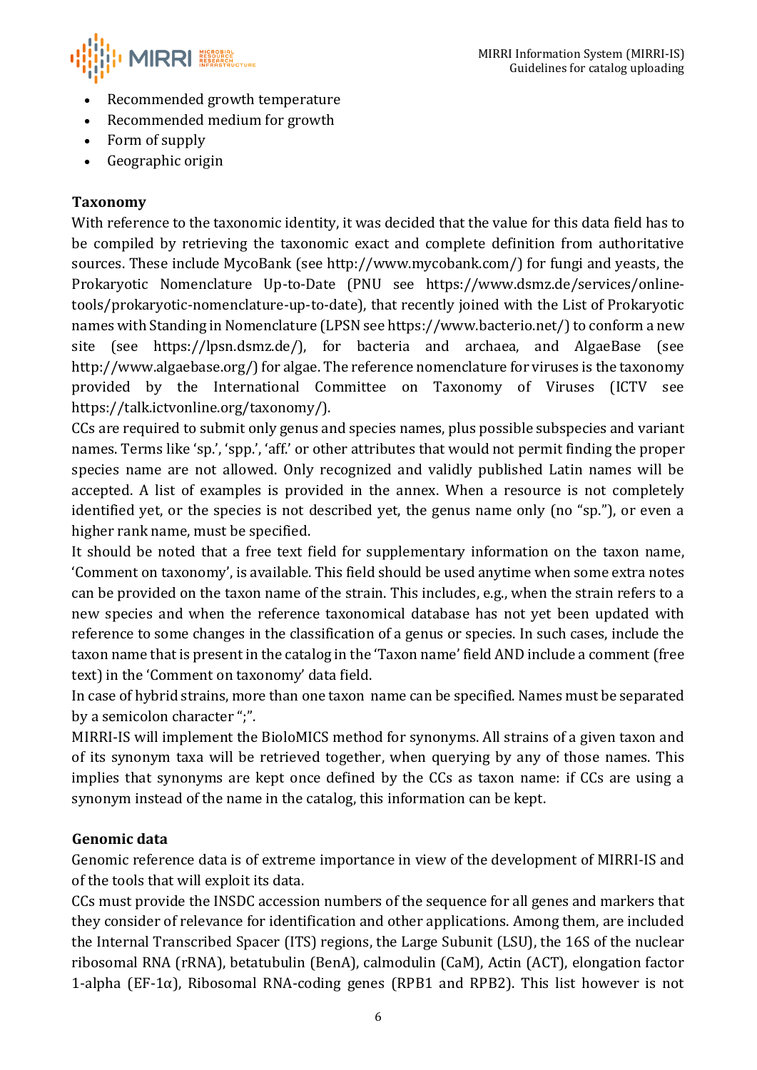

- Recommended growth temperature
- Recommended medium for growth
- Form of supply
- Geographic origin

### <span id="page-5-0"></span>**Taxonomy**

With reference to the taxonomic identity, it was decided that the value for this data field has to be compiled by retrieving the taxonomic exact and complete definition from authoritative sources. These include MycoBank (see [http://www.mycobank.com/\)](http://www.mycobank.com/) for fungi and yeasts, the Prokaryotic Nomenclature Up-to-Date (PNU see [https://www.dsmz.de/services/online](https://www.dsmz.de/services/online-tools/prokaryotic-nomenclature-up-to-date)[tools/prokaryotic-nomenclature-up-to-date\)](https://www.dsmz.de/services/online-tools/prokaryotic-nomenclature-up-to-date), that recently joined with the List of Prokaryotic names with Standing in Nomenclature (LPSN see https://www.bacterio.net/) to conform a new site (see https://lpsn.dsmz.de/), for bacteria and archaea, and AlgaeBase (see [http://www.algaebase.org/\)](http://www.algaebase.org/) for algae. The reference nomenclature for viruses is the taxonomy provided by the International Committee on Taxonomy of Viruses (ICTV see https://talk.ictvonline.org/taxonomy/).

CCs are required to submit only genus and species names, plus possible subspecies and variant names. Terms like 'sp.', 'spp.', 'aff.' or other attributes that would not permit finding the proper species name are not allowed. Only recognized and validly published Latin names will be accepted. A list of examples is provided in the annex. When a resource is not completely identified yet, or the species is not described yet, the genus name only (no "sp."), or even a higher rank name, must be specified.

It should be noted that a free text field for supplementary information on the taxon name, 'Comment on taxonomy', is available. This field should be used anytime when some extra notes can be provided on the taxon name of the strain. This includes, e.g., when the strain refers to a new species and when the reference taxonomical database has not yet been updated with reference to some changes in the classification of a genus or species. In such cases, include the taxon name that is present in the catalog in the 'Taxon name' field AND include a comment (free text) in the 'Comment on taxonomy' data field.

In case of hybrid strains, more than one taxon name can be specified. Names must be separated by a semicolon character ";".

MIRRI-IS will implement the BioloMICS method for synonyms. All strains of a given taxon and of its synonym taxa will be retrieved together, when querying by any of those names. This implies that synonyms are kept once defined by the CCs as taxon name: if CCs are using a synonym instead of the name in the catalog, this information can be kept.

### <span id="page-5-1"></span>**Genomic data**

Genomic reference data is of extreme importance in view of the development of MIRRI-IS and of the tools that will exploit its data.

CCs must provide the INSDC accession numbers of the sequence for all genes and markers that they consider of relevance for identification and other applications. Among them, are included the Internal Transcribed Spacer (ITS) regions, the Large Subunit (LSU), the 16S of the nuclear ribosomal RNA (rRNA), betatubulin (BenA), calmodulin (CaM), Actin (ACT), elongation factor 1-alpha (EF-1 $\alpha$ ), Ribosomal RNA-coding genes (RPB1 and RPB2). This list however is not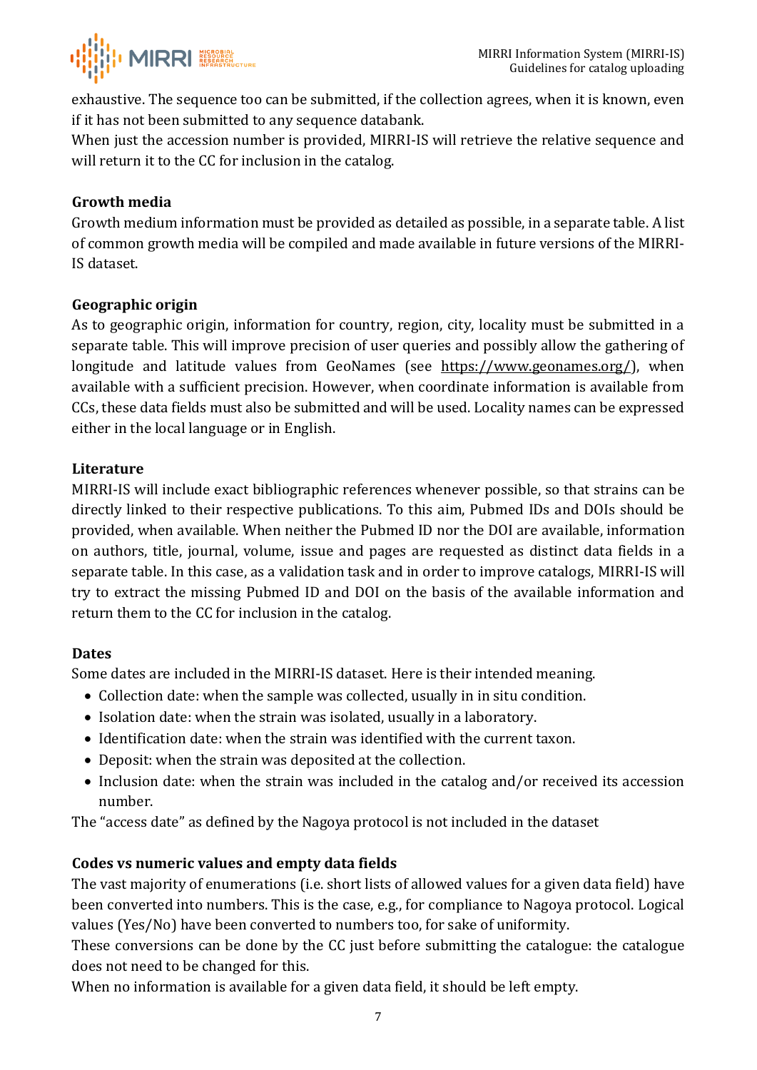

exhaustive. The sequence too can be submitted, if the collection agrees, when it is known, even if it has not been submitted to any sequence databank.

When just the accession number is provided, MIRRI-IS will retrieve the relative sequence and will return it to the CC for inclusion in the catalog.

### <span id="page-6-0"></span>**Growth media**

Growth medium information must be provided as detailed as possible, in a separate table. A list of common growth media will be compiled and made available in future versions of the MIRRI-IS dataset.

#### <span id="page-6-1"></span>**Geographic origin**

As to geographic origin, information for country, region, city, locality must be submitted in a separate table. This will improve precision of user queries and possibly allow the gathering of longitude and latitude values from GeoNames (see [https://www.geonames.org/\)](https://www.geonames.org/), when available with a sufficient precision. However, when coordinate information is available from CCs, these data fields must also be submitted and will be used. Locality names can be expressed either in the local language or in English.

#### <span id="page-6-2"></span>**Literature**

MIRRI-IS will include exact bibliographic references whenever possible, so that strains can be directly linked to their respective publications. To this aim, Pubmed IDs and DOIs should be provided, when available. When neither the Pubmed ID nor the DOI are available, information on authors, title, journal, volume, issue and pages are requested as distinct data fields in a separate table. In this case, as a validation task and in order to improve catalogs, MIRRI-IS will try to extract the missing Pubmed ID and DOI on the basis of the available information and return them to the CC for inclusion in the catalog.

#### <span id="page-6-3"></span>**Dates**

Some dates are included in the MIRRI-IS dataset. Here is their intended meaning.

- Collection date: when the sample was collected, usually in in situ condition.
- Isolation date: when the strain was isolated, usually in a laboratory.
- Identification date: when the strain was identified with the current taxon.
- Deposit: when the strain was deposited at the collection.
- Inclusion date: when the strain was included in the catalog and/or received its accession number.

The "access date" as defined by the Nagoya protocol is not included in the dataset

#### <span id="page-6-4"></span>**Codes vs numeric values and empty data fields**

The vast majority of enumerations (i.e. short lists of allowed values for a given data field) have been converted into numbers. This is the case, e.g., for compliance to Nagoya protocol. Logical values (Yes/No) have been converted to numbers too, for sake of uniformity.

These conversions can be done by the CC just before submitting the catalogue: the catalogue does not need to be changed for this.

When no information is available for a given data field, it should be left empty.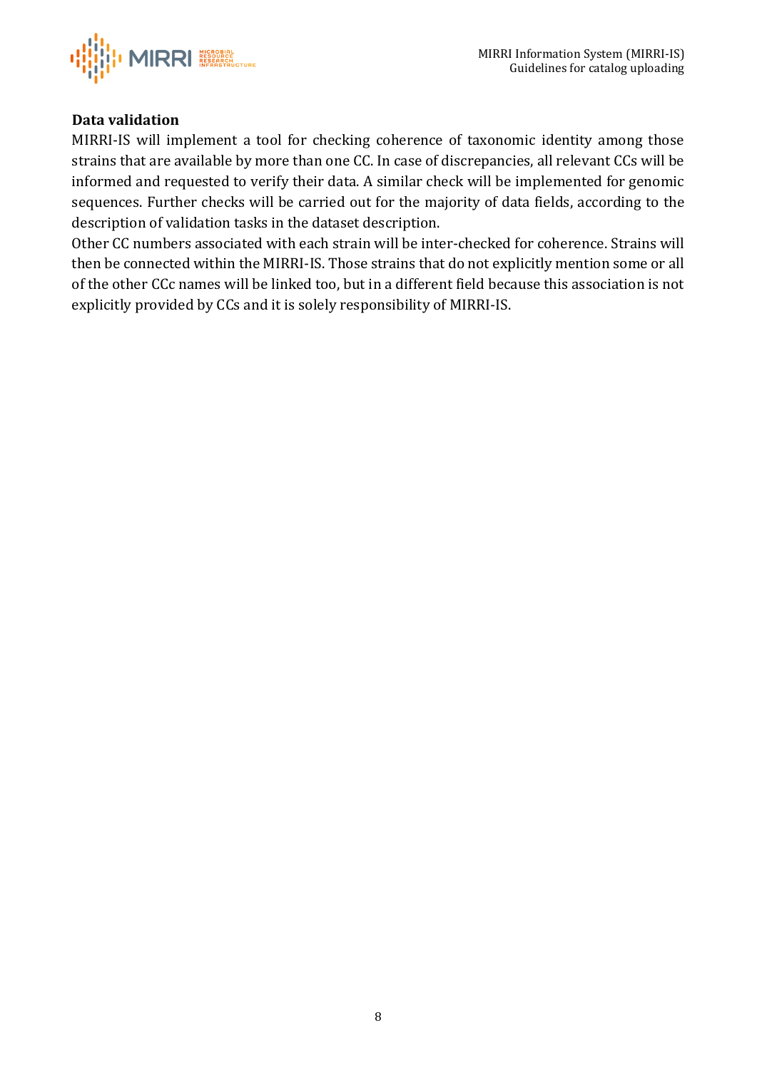

### <span id="page-7-0"></span>**Data validation**

MIRRI-IS will implement a tool for checking coherence of taxonomic identity among those strains that are available by more than one CC. In case of discrepancies, all relevant CCs will be informed and requested to verify their data. A similar check will be implemented for genomic sequences. Further checks will be carried out for the majority of data fields, according to the description of validation tasks in the dataset description.

Other CC numbers associated with each strain will be inter-checked for coherence. Strains will then be connected within the MIRRI-IS. Those strains that do not explicitly mention some or all of the other CCc names will be linked too, but in a different field because this association is not explicitly provided by CCs and it is solely responsibility of MIRRI-IS.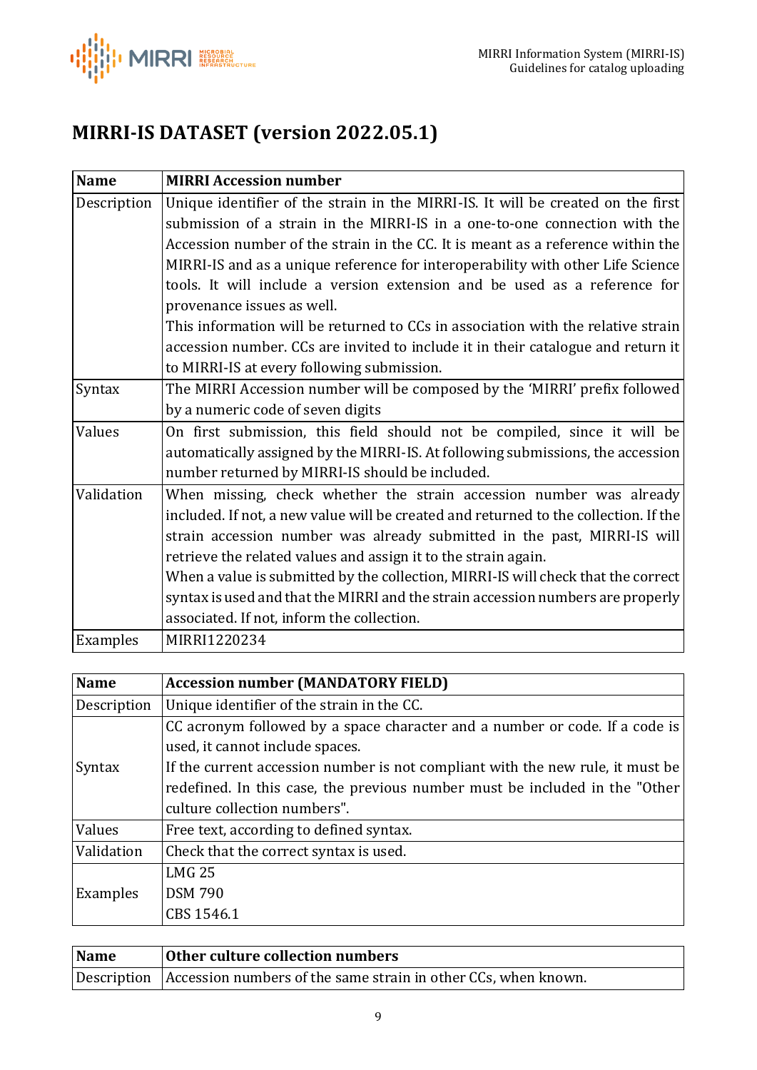

# <span id="page-8-0"></span>**MIRRI-IS DATASET (version 2022.05.1)**

<span id="page-8-1"></span>

| <b>Name</b> | <b>MIRRI Accession number</b>                                                        |
|-------------|--------------------------------------------------------------------------------------|
| Description | Unique identifier of the strain in the MIRRI-IS. It will be created on the first     |
|             | submission of a strain in the MIRRI-IS in a one-to-one connection with the           |
|             | Accession number of the strain in the CC. It is meant as a reference within the      |
|             | MIRRI-IS and as a unique reference for interoperability with other Life Science      |
|             | tools. It will include a version extension and be used as a reference for            |
|             | provenance issues as well.                                                           |
|             | This information will be returned to CCs in association with the relative strain     |
|             | accession number. CCs are invited to include it in their catalogue and return it     |
|             | to MIRRI-IS at every following submission.                                           |
| Syntax      | The MIRRI Accession number will be composed by the 'MIRRI' prefix followed           |
|             | by a numeric code of seven digits                                                    |
| Values      | On first submission, this field should not be compiled, since it will be             |
|             | automatically assigned by the MIRRI-IS. At following submissions, the accession      |
|             | number returned by MIRRI-IS should be included.                                      |
| Validation  | When missing, check whether the strain accession number was already                  |
|             | included. If not, a new value will be created and returned to the collection. If the |
|             | strain accession number was already submitted in the past, MIRRI-IS will             |
|             | retrieve the related values and assign it to the strain again.                       |
|             | When a value is submitted by the collection, MIRRI-IS will check that the correct    |
|             | syntax is used and that the MIRRI and the strain accession numbers are properly      |
|             | associated. If not, inform the collection.                                           |
| Examples    | MIRRI1220234                                                                         |

<span id="page-8-2"></span>

| <b>Name</b> | <b>Accession number (MANDATORY FIELD)</b>                                      |
|-------------|--------------------------------------------------------------------------------|
| Description | Unique identifier of the strain in the CC.                                     |
|             | CC acronym followed by a space character and a number or code. If a code is    |
|             | used, it cannot include spaces.                                                |
| Syntax      | If the current accession number is not compliant with the new rule, it must be |
|             | redefined. In this case, the previous number must be included in the "Other"   |
|             | culture collection numbers".                                                   |
| Values      | Free text, according to defined syntax.                                        |
| Validation  | Check that the correct syntax is used.                                         |
| Examples    | <b>LMG 25</b>                                                                  |
|             | <b>DSM 790</b>                                                                 |
|             | CBS 1546.1                                                                     |

<span id="page-8-3"></span>

| Name | <b>Other culture collection numbers</b>                                    |
|------|----------------------------------------------------------------------------|
|      | Description Accession numbers of the same strain in other CCs, when known. |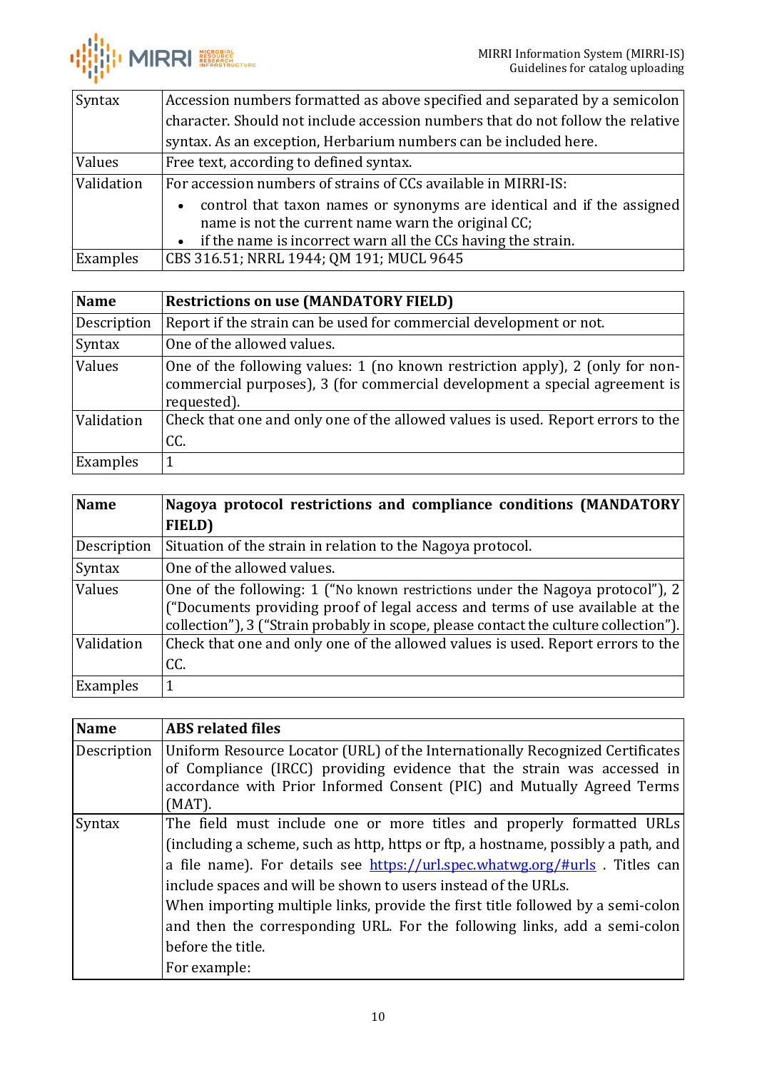

| Syntax     | Accession numbers formatted as above specified and separated by a semicolon         |
|------------|-------------------------------------------------------------------------------------|
|            | character. Should not include accession numbers that do not follow the relative     |
|            | syntax. As an exception, Herbarium numbers can be included here.                    |
| Values     | Free text, according to defined syntax.                                             |
| Validation | For accession numbers of strains of CCs available in MIRRI-IS:                      |
|            | control that taxon names or synonyms are identical and if the assigned<br>$\bullet$ |
|            | name is not the current name warn the original CC;                                  |
|            | • if the name is incorrect warn all the CCs having the strain.                      |
| Examples   | CBS 316.51; NRRL 1944; QM 191; MUCL 9645                                            |

<span id="page-9-0"></span>

| <b>Name</b> | <b>Restrictions on use (MANDATORY FIELD)</b>                                                                                                                               |
|-------------|----------------------------------------------------------------------------------------------------------------------------------------------------------------------------|
| Description | Report if the strain can be used for commercial development or not.                                                                                                        |
| Syntax      | One of the allowed values.                                                                                                                                                 |
| Values      | One of the following values: 1 (no known restriction apply), 2 (only for non-<br>commercial purposes), 3 (for commercial development a special agreement is<br>requested). |
| Validation  | Check that one and only one of the allowed values is used. Report errors to the<br>CC.                                                                                     |
| Examples    |                                                                                                                                                                            |

<span id="page-9-1"></span>

| <b>Name</b>   | Nagoya protocol restrictions and compliance conditions (MANDATORY                                                                                                                                                                                       |
|---------------|---------------------------------------------------------------------------------------------------------------------------------------------------------------------------------------------------------------------------------------------------------|
|               | FIELD)                                                                                                                                                                                                                                                  |
| Description   | Situation of the strain in relation to the Nagoya protocol.                                                                                                                                                                                             |
| <b>Syntax</b> | One of the allowed values.                                                                                                                                                                                                                              |
| Values        | One of the following: 1 ("No known restrictions under the Nagoya protocol"), 2<br>("Documents providing proof of legal access and terms of use available at the<br>collection"), 3 ("Strain probably in scope, please contact the culture collection"). |
| Validation    | Check that one and only one of the allowed values is used. Report errors to the<br>CC.                                                                                                                                                                  |
| Examples      |                                                                                                                                                                                                                                                         |

<span id="page-9-2"></span>

| <b>Name</b> | <b>ABS</b> related files                                                                                                                                                                                                                                                                                                                                                                                                                                                                                          |
|-------------|-------------------------------------------------------------------------------------------------------------------------------------------------------------------------------------------------------------------------------------------------------------------------------------------------------------------------------------------------------------------------------------------------------------------------------------------------------------------------------------------------------------------|
| Description | Uniform Resource Locator (URL) of the Internationally Recognized Certificates<br>of Compliance (IRCC) providing evidence that the strain was accessed in<br>accordance with Prior Informed Consent (PIC) and Mutually Agreed Terms<br>$(MAT)$ .                                                                                                                                                                                                                                                                   |
| Syntax      | The field must include one or more titles and properly formatted URLs<br>(including a scheme, such as http, https or ftp, a hostname, possibly a path, and<br>a file name). For details see https://url.spec.whatwg.org/#urls . Titles can<br>include spaces and will be shown to users instead of the URLs.<br>When importing multiple links, provide the first title followed by a semi-colon<br>and then the corresponding URL. For the following links, add a semi-colon<br>before the title.<br>For example: |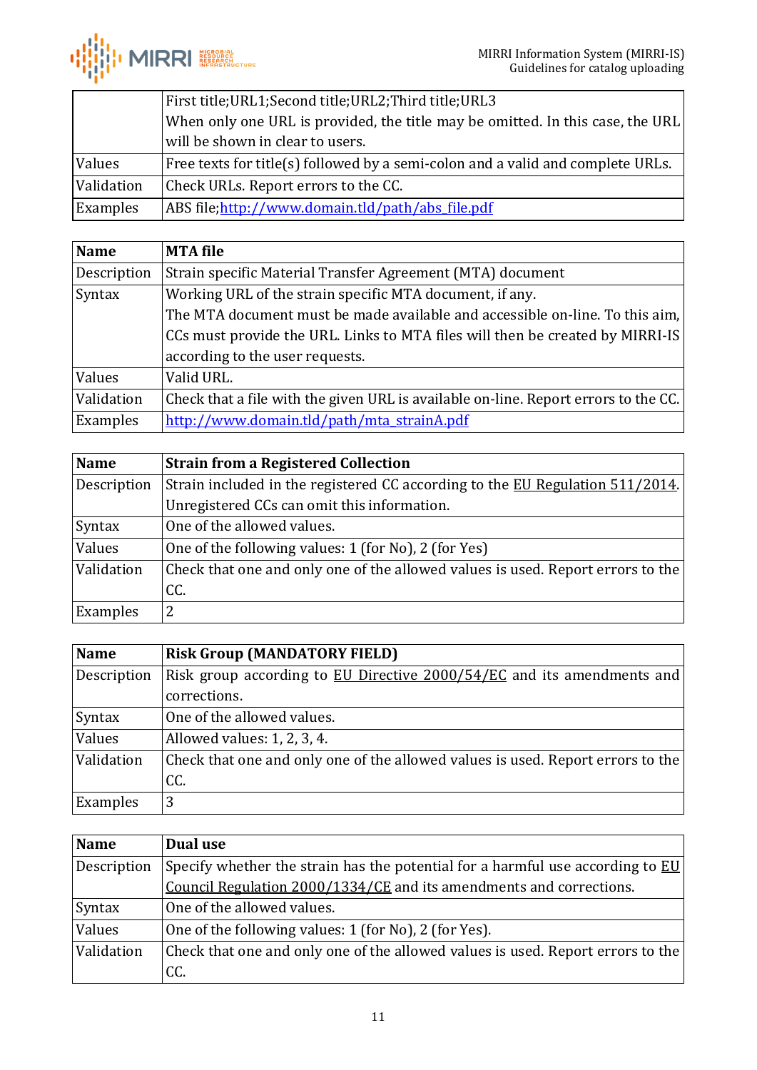|            | First title;URL1;Second title;URL2;Third title;URL3                             |
|------------|---------------------------------------------------------------------------------|
|            | When only one URL is provided, the title may be omitted. In this case, the URL  |
|            | will be shown in clear to users.                                                |
| Values     | Free texts for title(s) followed by a semi-colon and a valid and complete URLs. |
| Validation | Check URLs. Report errors to the CC.                                            |
| Examples   | ABS file; http://www.domain.tld/path/abs file.pdf                               |

<span id="page-10-0"></span>

| <b>Name</b> | <b>MTA</b> file                                                                     |
|-------------|-------------------------------------------------------------------------------------|
| Description | Strain specific Material Transfer Agreement (MTA) document                          |
| Syntax      | Working URL of the strain specific MTA document, if any.                            |
|             | The MTA document must be made available and accessible on-line. To this aim,        |
|             | CCs must provide the URL. Links to MTA files will then be created by MIRRI-IS       |
|             | according to the user requests.                                                     |
| Values      | Valid URL.                                                                          |
| Validation  | Check that a file with the given URL is available on-line. Report errors to the CC. |
| Examples    | http://www.domain.tld/path/mta_strainA.pdf                                          |

<span id="page-10-1"></span>

| <b>Name</b> | <b>Strain from a Registered Collection</b>                                      |
|-------------|---------------------------------------------------------------------------------|
| Description | Strain included in the registered CC according to the EU Regulation 511/2014.   |
|             | Unregistered CCs can omit this information.                                     |
| Syntax      | One of the allowed values.                                                      |
| Values      | One of the following values: 1 (for No), 2 (for Yes)                            |
| Validation  | Check that one and only one of the allowed values is used. Report errors to the |
|             | CC.                                                                             |
| Examples    | 2                                                                               |

<span id="page-10-2"></span>

| <b>Name</b> | <b>Risk Group (MANDATORY FIELD)</b>                                             |
|-------------|---------------------------------------------------------------------------------|
| Description | Risk group according to EU Directive 2000/54/EC and its amendments and          |
|             | corrections.                                                                    |
| Syntax      | One of the allowed values.                                                      |
| Values      | Allowed values: 1, 2, 3, 4.                                                     |
| Validation  | Check that one and only one of the allowed values is used. Report errors to the |
|             | CC.                                                                             |
| Examples    | 3                                                                               |

<span id="page-10-3"></span>

| <b>Name</b> | Dual use                                                                                     |
|-------------|----------------------------------------------------------------------------------------------|
| Description | Specify whether the strain has the potential for a harmful use according to $\underline{EU}$ |
|             | Council Regulation 2000/1334/CE and its amendments and corrections.                          |
| Syntax      | One of the allowed values.                                                                   |
| Values      | One of the following values: 1 (for No), 2 (for Yes).                                        |
| Validation  | Check that one and only one of the allowed values is used. Report errors to the              |
|             | CC.                                                                                          |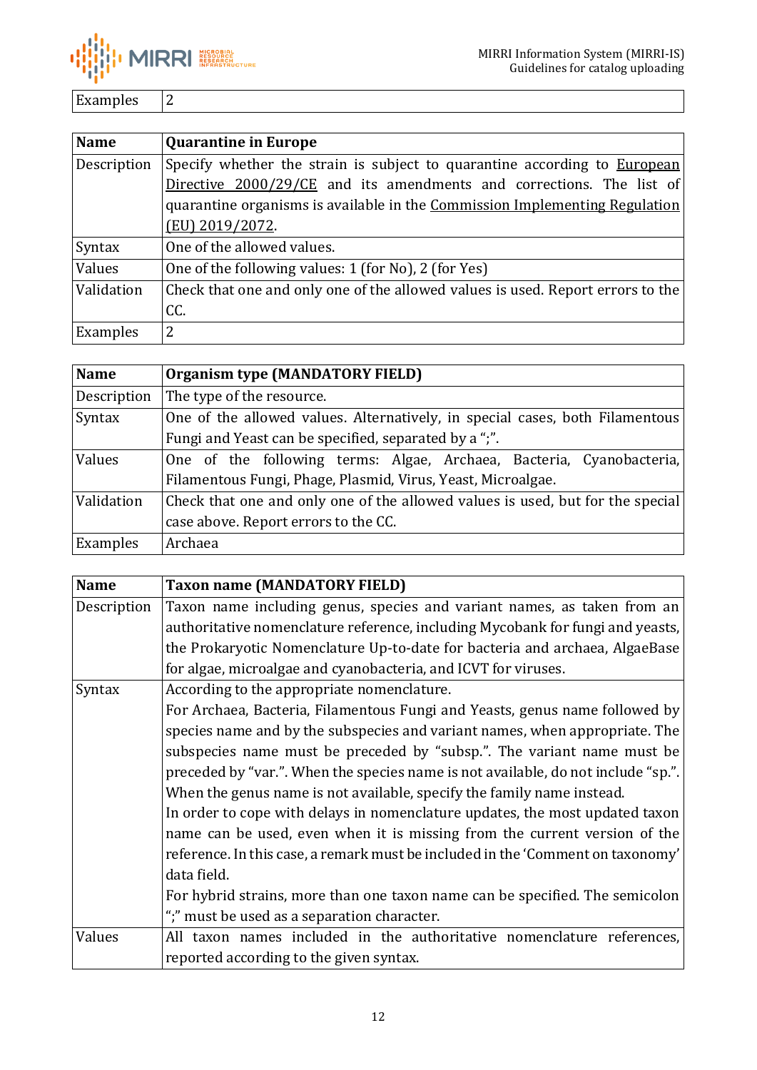

Examples 2

<span id="page-11-0"></span>

| <b>Name</b> | <b>Quarantine in Europe</b>                                                      |
|-------------|----------------------------------------------------------------------------------|
| Description | Specify whether the strain is subject to quarantine according to <b>European</b> |
|             | Directive 2000/29/CE and its amendments and corrections. The list of             |
|             | quarantine organisms is available in the Commission Implementing Regulation      |
|             | (EU) 2019/2072.                                                                  |
| Syntax      | One of the allowed values.                                                       |
| Values      | One of the following values: 1 (for No), 2 (for Yes)                             |
| Validation  | Check that one and only one of the allowed values is used. Report errors to the  |
|             | CC.                                                                              |
| Examples    | 2                                                                                |

<span id="page-11-1"></span>

| <b>Name</b> | <b>Organism type (MANDATORY FIELD)</b>                                         |  |
|-------------|--------------------------------------------------------------------------------|--|
| Description | The type of the resource.                                                      |  |
| Syntax      | One of the allowed values. Alternatively, in special cases, both Filamentous   |  |
|             | Fungi and Yeast can be specified, separated by a ";".                          |  |
| Values      | One of the following terms: Algae, Archaea, Bacteria, Cyanobacteria,           |  |
|             | Filamentous Fungi, Phage, Plasmid, Virus, Yeast, Microalgae.                   |  |
| Validation  | Check that one and only one of the allowed values is used, but for the special |  |
|             | case above. Report errors to the CC.                                           |  |
| Examples    | Archaea                                                                        |  |

<span id="page-11-2"></span>

| <b>Name</b> | <b>Taxon name (MANDATORY FIELD)</b>                                               |
|-------------|-----------------------------------------------------------------------------------|
| Description | Taxon name including genus, species and variant names, as taken from an           |
|             | authoritative nomenclature reference, including Mycobank for fungi and yeasts,    |
|             | the Prokaryotic Nomenclature Up-to-date for bacteria and archaea, AlgaeBase       |
|             | for algae, microalgae and cyanobacteria, and ICVT for viruses.                    |
| Syntax      | According to the appropriate nomenclature.                                        |
|             | For Archaea, Bacteria, Filamentous Fungi and Yeasts, genus name followed by       |
|             | species name and by the subspecies and variant names, when appropriate. The       |
|             | subspecies name must be preceded by "subsp.". The variant name must be            |
|             | preceded by "var.". When the species name is not available, do not include "sp.". |
|             | When the genus name is not available, specify the family name instead.            |
|             | In order to cope with delays in nomenclature updates, the most updated taxon      |
|             | name can be used, even when it is missing from the current version of the         |
|             | reference. In this case, a remark must be included in the 'Comment on taxonomy'   |
|             | data field.                                                                       |
|             | For hybrid strains, more than one taxon name can be specified. The semicolon      |
|             | ";" must be used as a separation character.                                       |
| Values      | All taxon names included in the authoritative nomenclature references,            |
|             | reported according to the given syntax.                                           |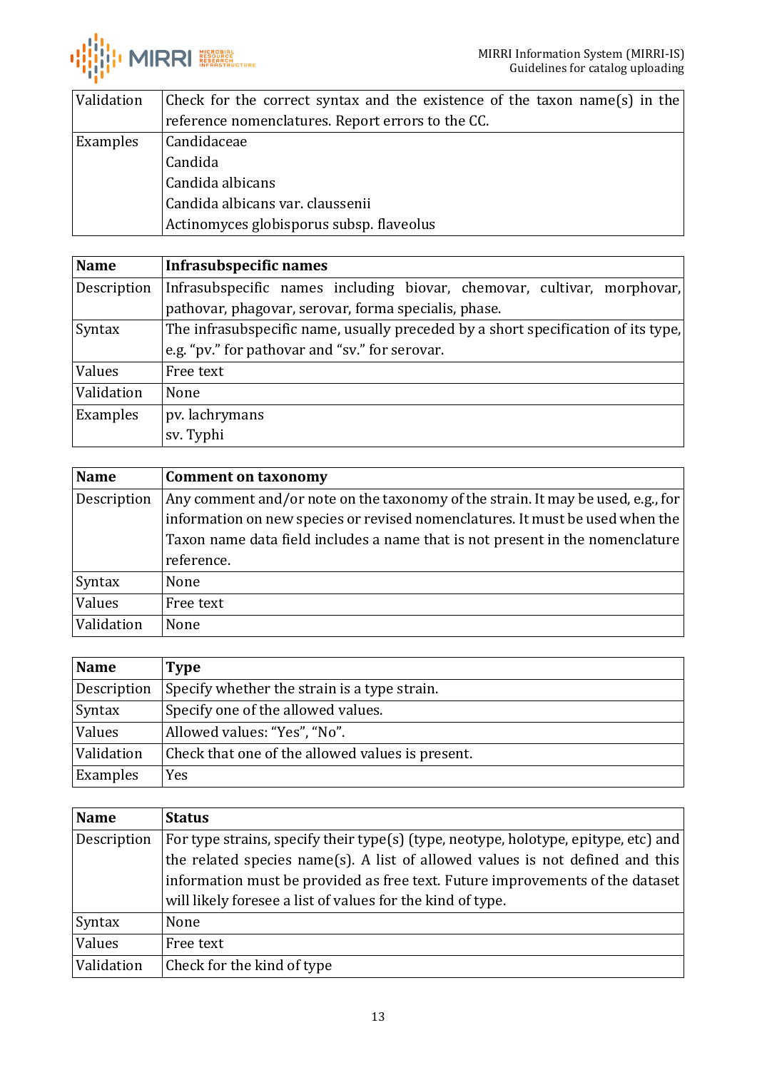

| Validation | Check for the correct syntax and the existence of the taxon name(s) in the |
|------------|----------------------------------------------------------------------------|
|            | reference nomenclatures. Report errors to the CC.                          |
| Examples   | Candidaceae                                                                |
|            | Candida                                                                    |
|            | Candida albicans                                                           |
|            | Candida albicans var. claussenii                                           |
|            | Actinomyces globisporus subsp. flaveolus                                   |

<span id="page-12-0"></span>

| <b>Name</b> | Infrasubspecific names                                                            |
|-------------|-----------------------------------------------------------------------------------|
| Description | Infrasubspecific names including biovar, chemovar, cultivar, morphovar,           |
|             | pathovar, phagovar, serovar, forma specialis, phase.                              |
| Syntax      | The infrasubspecific name, usually preceded by a short specification of its type, |
|             | e.g. "pv." for pathovar and "sv." for serovar.                                    |
| Values      | Free text                                                                         |
| Validation  | None                                                                              |
| Examples    | pv. lachrymans                                                                    |
|             | sv. Typhi                                                                         |

<span id="page-12-1"></span>

| <b>Name</b> | <b>Comment on taxonomy</b>                                                       |
|-------------|----------------------------------------------------------------------------------|
| Description | Any comment and/or note on the taxonomy of the strain. It may be used, e.g., for |
|             | information on new species or revised nomenclatures. It must be used when the    |
|             | Taxon name data field includes a name that is not present in the nomenclature    |
|             | reference.                                                                       |
| Syntax      | None                                                                             |
| Values      | Free text                                                                        |
| Validation  | None                                                                             |

<span id="page-12-2"></span>

| Name        | <b>Type</b>                                      |
|-------------|--------------------------------------------------|
| Description | Specify whether the strain is a type strain.     |
| Syntax      | Specify one of the allowed values.               |
| Values      | Allowed values: "Yes", "No".                     |
| Validation  | Check that one of the allowed values is present. |
| Examples    | Yes                                              |

<span id="page-12-3"></span>

| <b>Name</b> | <b>Status</b>                                                                                                                                                                                                                                                                                                       |
|-------------|---------------------------------------------------------------------------------------------------------------------------------------------------------------------------------------------------------------------------------------------------------------------------------------------------------------------|
| Description | For type strains, specify their type(s) (type, neotype, holotype, epitype, etc) and<br>the related species name(s). A list of allowed values is not defined and this<br>information must be provided as free text. Future improvements of the dataset<br>will likely foresee a list of values for the kind of type. |
| Syntax      | None                                                                                                                                                                                                                                                                                                                |
| Values      | Free text                                                                                                                                                                                                                                                                                                           |
| Validation  | Check for the kind of type                                                                                                                                                                                                                                                                                          |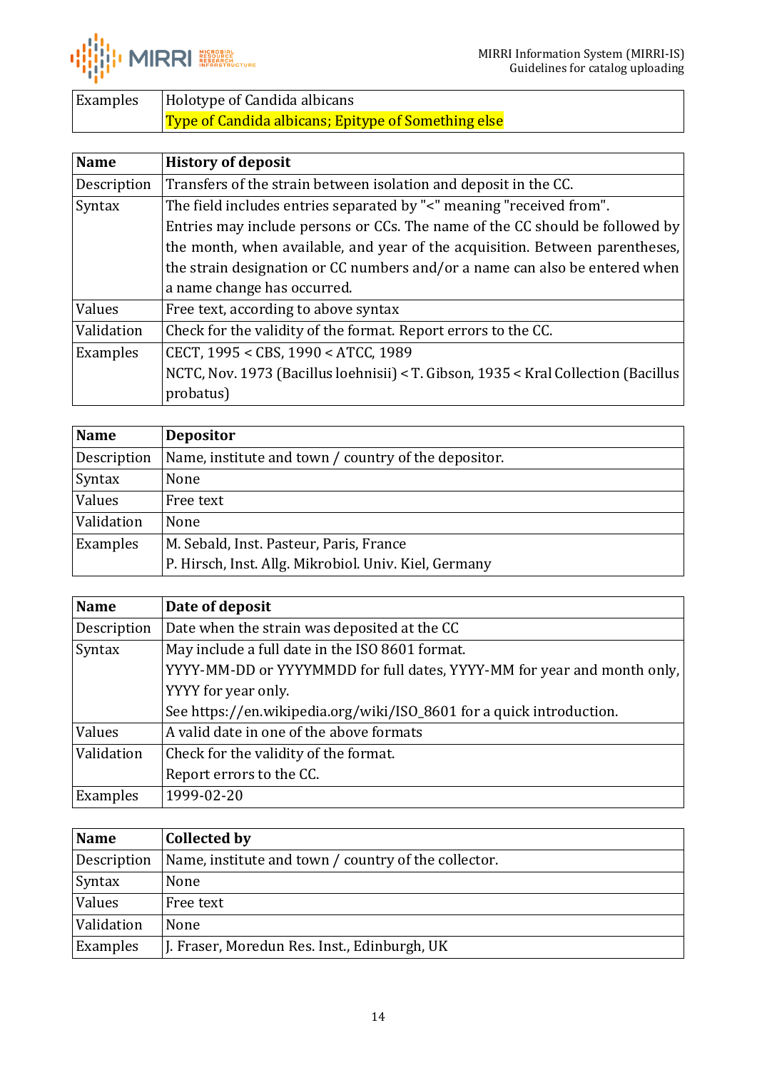

| Examples | Holotype of Candida albicans                               |
|----------|------------------------------------------------------------|
|          | <b>Type of Candida albicans; Epitype of Something else</b> |

<span id="page-13-0"></span>

| <b>Name</b> | <b>History of deposit</b>                                                          |
|-------------|------------------------------------------------------------------------------------|
| Description | Transfers of the strain between isolation and deposit in the CC.                   |
| Syntax      | The field includes entries separated by "<" meaning "received from".               |
|             | Entries may include persons or CCs. The name of the CC should be followed by       |
|             | the month, when available, and year of the acquisition. Between parentheses,       |
|             | the strain designation or CC numbers and/or a name can also be entered when        |
|             | a name change has occurred.                                                        |
| Values      | Free text, according to above syntax                                               |
| Validation  | Check for the validity of the format. Report errors to the CC.                     |
| Examples    | CECT, 1995 < CBS, 1990 < ATCC, 1989                                                |
|             | NCTC, Nov. 1973 (Bacillus loehnisii) < T. Gibson, 1935 < Kral Collection (Bacillus |
|             | probatus)                                                                          |

<span id="page-13-1"></span>

| <b>Name</b> | <b>Depositor</b>                                      |
|-------------|-------------------------------------------------------|
| Description | Name, institute and town / country of the depositor.  |
| Syntax      | None                                                  |
| Values      | Free text                                             |
| Validation  | None                                                  |
| Examples    | M. Sebald, Inst. Pasteur, Paris, France               |
|             | P. Hirsch, Inst. Allg. Mikrobiol. Univ. Kiel, Germany |

<span id="page-13-2"></span>

| <b>Name</b> | Date of deposit                                                         |
|-------------|-------------------------------------------------------------------------|
| Description | Date when the strain was deposited at the CC                            |
| Syntax      | May include a full date in the ISO 8601 format.                         |
|             | YYYY-MM-DD or YYYYMMDD for full dates, YYYY-MM for year and month only, |
|             | YYYY for year only.                                                     |
|             | See https://en.wikipedia.org/wiki/ISO_8601 for a quick introduction.    |
| Values      | A valid date in one of the above formats                                |
| Validation  | Check for the validity of the format.                                   |
|             | Report errors to the CC.                                                |
| Examples    | 1999-02-20                                                              |

<span id="page-13-3"></span>

| <b>Name</b> | <b>Collected by</b>                                  |
|-------------|------------------------------------------------------|
| Description | Name, institute and town / country of the collector. |
| Syntax      | None                                                 |
| Values      | Free text                                            |
| Validation  | None                                                 |
| Examples    | J. Fraser, Moredun Res. Inst., Edinburgh, UK         |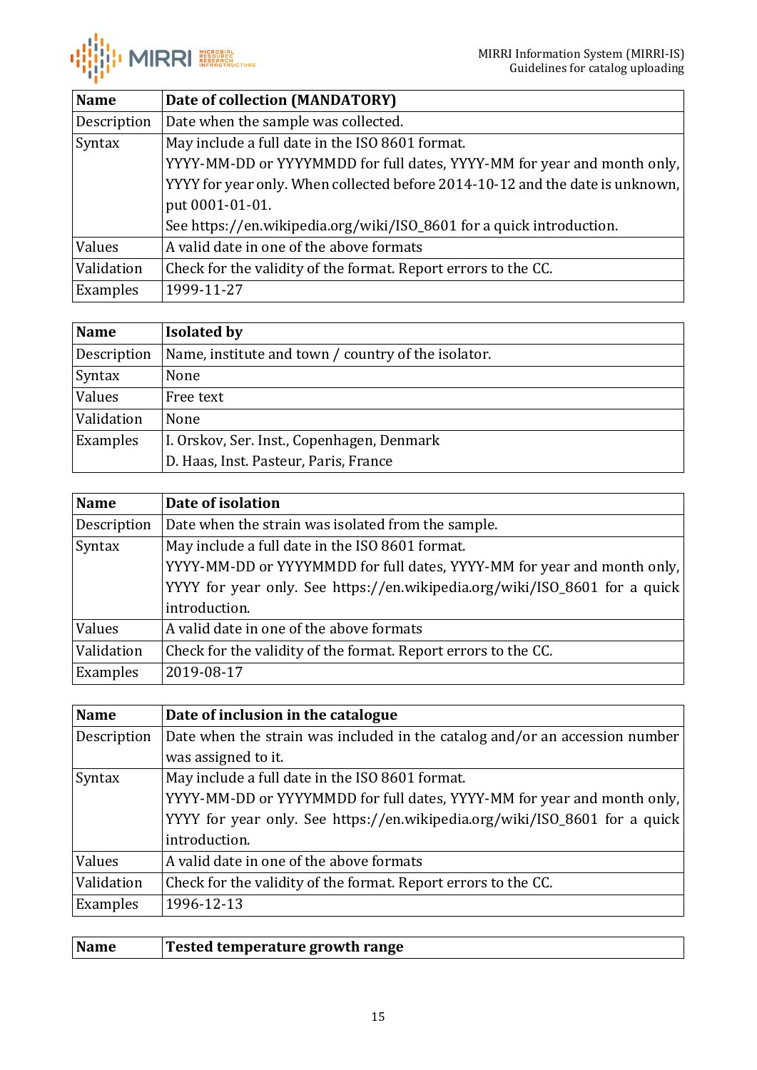

<span id="page-14-0"></span>

| <b>Name</b> | Date of collection (MANDATORY)                                                |
|-------------|-------------------------------------------------------------------------------|
| Description | Date when the sample was collected.                                           |
| Syntax      | May include a full date in the ISO 8601 format.                               |
|             | YYYY-MM-DD or YYYYMMDD for full dates, YYYY-MM for year and month only,       |
|             | YYYY for year only. When collected before 2014-10-12 and the date is unknown, |
|             | put 0001-01-01.                                                               |
|             | See https://en.wikipedia.org/wiki/ISO_8601 for a quick introduction.          |
| Values      | A valid date in one of the above formats                                      |
| Validation  | Check for the validity of the format. Report errors to the CC.                |
| Examples    | 1999-11-27                                                                    |

<span id="page-14-1"></span>

| <b>Name</b> | <b>Isolated by</b>                                  |
|-------------|-----------------------------------------------------|
| Description | Name, institute and town / country of the isolator. |
| Syntax      | None                                                |
| Values      | Free text                                           |
| Validation  | None                                                |
| Examples    | I. Orskov, Ser. Inst., Copenhagen, Denmark          |
|             | D. Haas, Inst. Pasteur, Paris, France               |

<span id="page-14-2"></span>

| <b>Name</b>   | Date of isolation                                                          |
|---------------|----------------------------------------------------------------------------|
| Description   | Date when the strain was isolated from the sample.                         |
| <b>Syntax</b> | May include a full date in the ISO 8601 format.                            |
|               | YYYY-MM-DD or YYYYMMDD for full dates, YYYY-MM for year and month only,    |
|               | YYYY for year only. See https://en.wikipedia.org/wiki/ISO_8601 for a quick |
|               | introduction.                                                              |
| Values        | A valid date in one of the above formats                                   |
| Validation    | Check for the validity of the format. Report errors to the CC.             |
| Examples      | 2019-08-17                                                                 |

<span id="page-14-3"></span>

| <b>Name</b> | Date of inclusion in the catalogue                                          |
|-------------|-----------------------------------------------------------------------------|
| Description | Date when the strain was included in the catalog and/or an accession number |
|             | was assigned to it.                                                         |
| Syntax      | May include a full date in the ISO 8601 format.                             |
|             | YYYY-MM-DD or YYYYMMDD for full dates, YYYY-MM for year and month only,     |
|             | YYYY for year only. See https://en.wikipedia.org/wiki/ISO_8601 for a quick  |
|             | introduction.                                                               |
| Values      | A valid date in one of the above formats                                    |
| Validation  | Check for the validity of the format. Report errors to the CC.              |
| Examples    | 1996-12-13                                                                  |

<span id="page-14-4"></span>

|  | Name | <b>Tested temperature growth range</b> |
|--|------|----------------------------------------|
|--|------|----------------------------------------|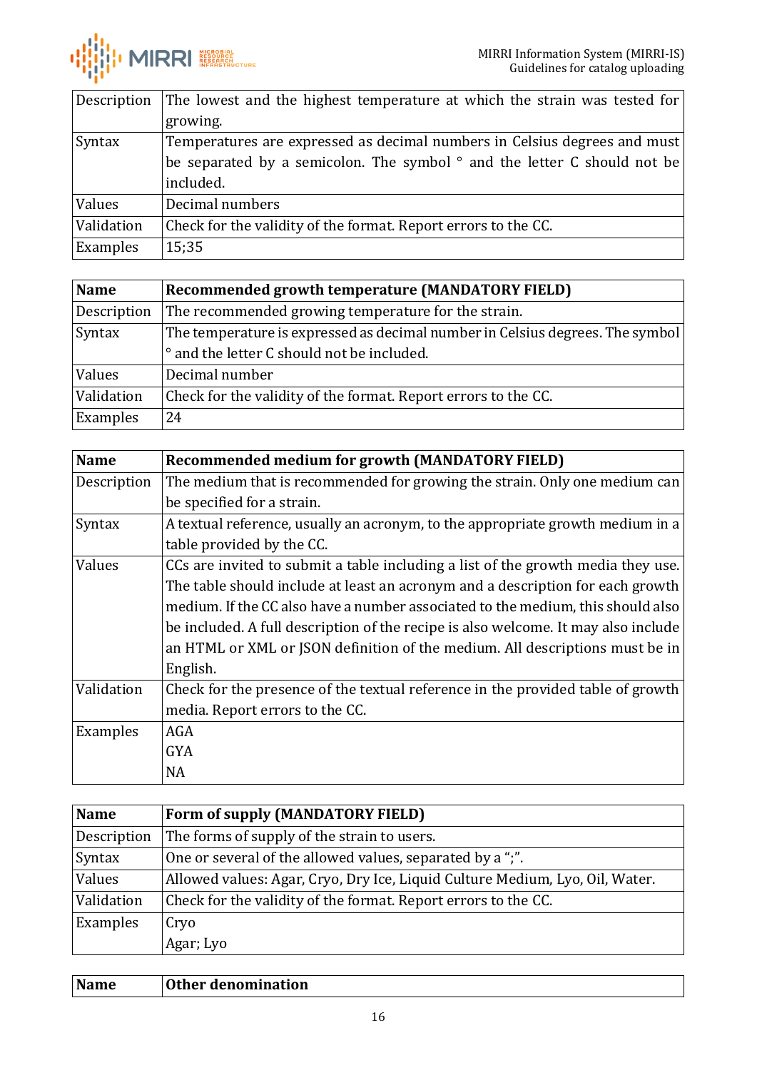

| Description | The lowest and the highest temperature at which the strain was tested for        |
|-------------|----------------------------------------------------------------------------------|
|             | growing.                                                                         |
| Syntax      | Temperatures are expressed as decimal numbers in Celsius degrees and must        |
|             | be separated by a semicolon. The symbol $\degree$ and the letter C should not be |
|             | included.                                                                        |
| Values      | Decimal numbers                                                                  |
| Validation  | Check for the validity of the format. Report errors to the CC.                   |
| Examples    | 15;35                                                                            |

<span id="page-15-0"></span>

| <b>Name</b> | Recommended growth temperature (MANDATORY FIELD)                              |
|-------------|-------------------------------------------------------------------------------|
| Description | The recommended growing temperature for the strain.                           |
| Syntax      | The temperature is expressed as decimal number in Celsius degrees. The symbol |
|             | • and the letter C should not be included.                                    |
| Values      | Decimal number                                                                |
| Validation  | Check for the validity of the format. Report errors to the CC.                |
| Examples    | 24                                                                            |

<span id="page-15-1"></span>

| <b>Name</b> | <b>Recommended medium for growth (MANDATORY FIELD)</b>                             |
|-------------|------------------------------------------------------------------------------------|
| Description | The medium that is recommended for growing the strain. Only one medium can         |
|             | be specified for a strain.                                                         |
| Syntax      | A textual reference, usually an acronym, to the appropriate growth medium in a     |
|             | table provided by the CC.                                                          |
| Values      | CCs are invited to submit a table including a list of the growth media they use.   |
|             | The table should include at least an acronym and a description for each growth     |
|             | medium. If the CC also have a number associated to the medium, this should also    |
|             | be included. A full description of the recipe is also welcome. It may also include |
|             | an HTML or XML or JSON definition of the medium. All descriptions must be in       |
|             | English.                                                                           |
| Validation  | Check for the presence of the textual reference in the provided table of growth    |
|             | media. Report errors to the CC.                                                    |
| Examples    | AGA                                                                                |
|             | <b>GYA</b>                                                                         |
|             | NA                                                                                 |

<span id="page-15-2"></span>

| <b>Name</b> | Form of supply (MANDATORY FIELD)                                             |
|-------------|------------------------------------------------------------------------------|
| Description | The forms of supply of the strain to users.                                  |
| Syntax      | One or several of the allowed values, separated by a ";".                    |
| Values      | Allowed values: Agar, Cryo, Dry Ice, Liquid Culture Medium, Lyo, Oil, Water. |
| Validation  | Check for the validity of the format. Report errors to the CC.               |
| Examples    | Cryo                                                                         |
|             | Agar; Lyo                                                                    |

<span id="page-15-3"></span>

| Name | Other denomination |
|------|--------------------|
|      |                    |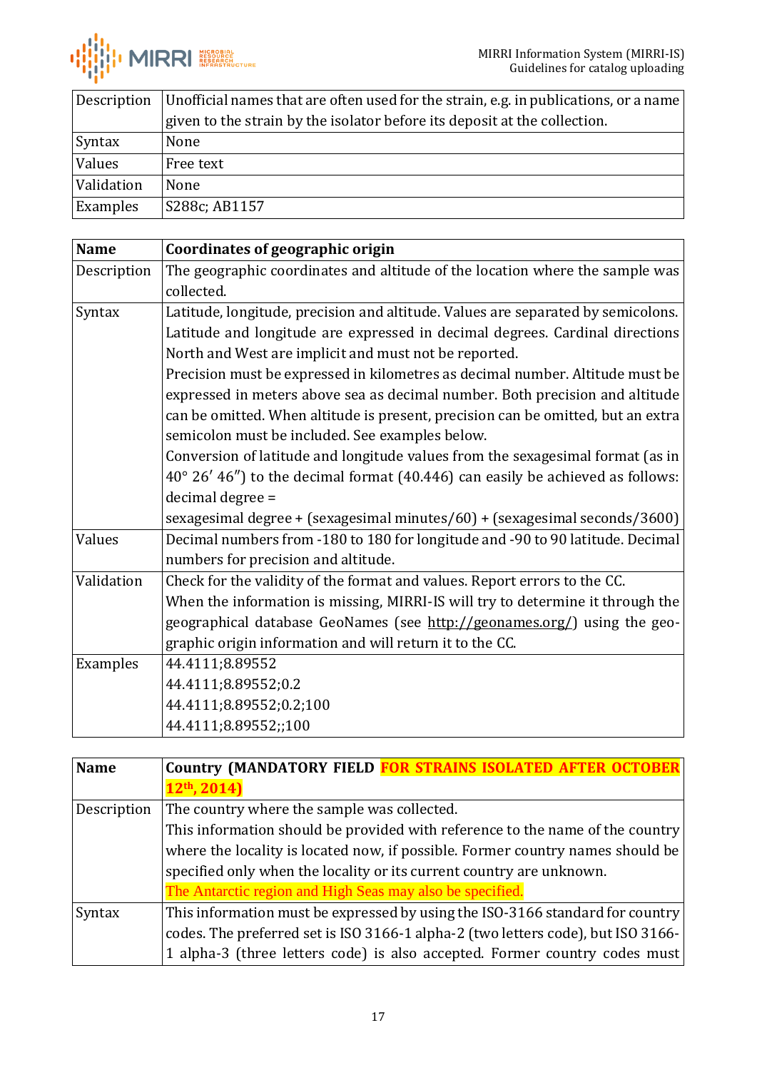

| Description   | Unofficial names that are often used for the strain, e.g. in publications, or a name |
|---------------|--------------------------------------------------------------------------------------|
|               | given to the strain by the isolator before its deposit at the collection.            |
| <b>Syntax</b> | None                                                                                 |
| Values        | Free text                                                                            |
| Validation    | None                                                                                 |
| Examples      | S288c; AB1157                                                                        |

<span id="page-16-0"></span>

| <b>Name</b> | <b>Coordinates of geographic origin</b>                                                 |
|-------------|-----------------------------------------------------------------------------------------|
| Description | The geographic coordinates and altitude of the location where the sample was            |
|             | collected.                                                                              |
| Syntax      | Latitude, longitude, precision and altitude. Values are separated by semicolons.        |
|             | Latitude and longitude are expressed in decimal degrees. Cardinal directions            |
|             | North and West are implicit and must not be reported.                                   |
|             | Precision must be expressed in kilometres as decimal number. Altitude must be           |
|             | expressed in meters above sea as decimal number. Both precision and altitude            |
|             | can be omitted. When altitude is present, precision can be omitted, but an extra        |
|             | semicolon must be included. See examples below.                                         |
|             | Conversion of latitude and longitude values from the sexagesimal format (as in          |
|             | $40^{\circ}$ 26' 46") to the decimal format (40.446) can easily be achieved as follows: |
|             | decimal degree =                                                                        |
|             | sexagesimal degree + (sexagesimal minutes/60) + (sexagesimal seconds/3600)              |
| Values      | Decimal numbers from -180 to 180 for longitude and -90 to 90 latitude. Decimal          |
|             | numbers for precision and altitude.                                                     |
| Validation  | Check for the validity of the format and values. Report errors to the CC.               |
|             | When the information is missing, MIRRI-IS will try to determine it through the          |
|             | geographical database GeoNames (see http://geonames.org/) using the geo-                |
|             | graphic origin information and will return it to the CC.                                |
| Examples    | 44.4111;8.89552                                                                         |
|             | 44.4111;8.89552;0.2                                                                     |
|             | 44.4111;8.89552;0.2;100                                                                 |
|             | 44.4111;8.89552;;100                                                                    |

<span id="page-16-1"></span>

| <b>Name</b> | <b>Country (MANDATORY FIELD FOR STRAINS ISOLATED AFTER OCTOBER)</b>              |
|-------------|----------------------------------------------------------------------------------|
|             | $12th$ , 2014)                                                                   |
| Description | The country where the sample was collected.                                      |
|             | This information should be provided with reference to the name of the country    |
|             | where the locality is located now, if possible. Former country names should be   |
|             | specified only when the locality or its current country are unknown.             |
|             | The Antarctic region and High Seas may also be specified.                        |
| Syntax      | This information must be expressed by using the ISO-3166 standard for country    |
|             | codes. The preferred set is ISO 3166-1 alpha-2 (two letters code), but ISO 3166- |
|             | 1 alpha-3 (three letters code) is also accepted. Former country codes must       |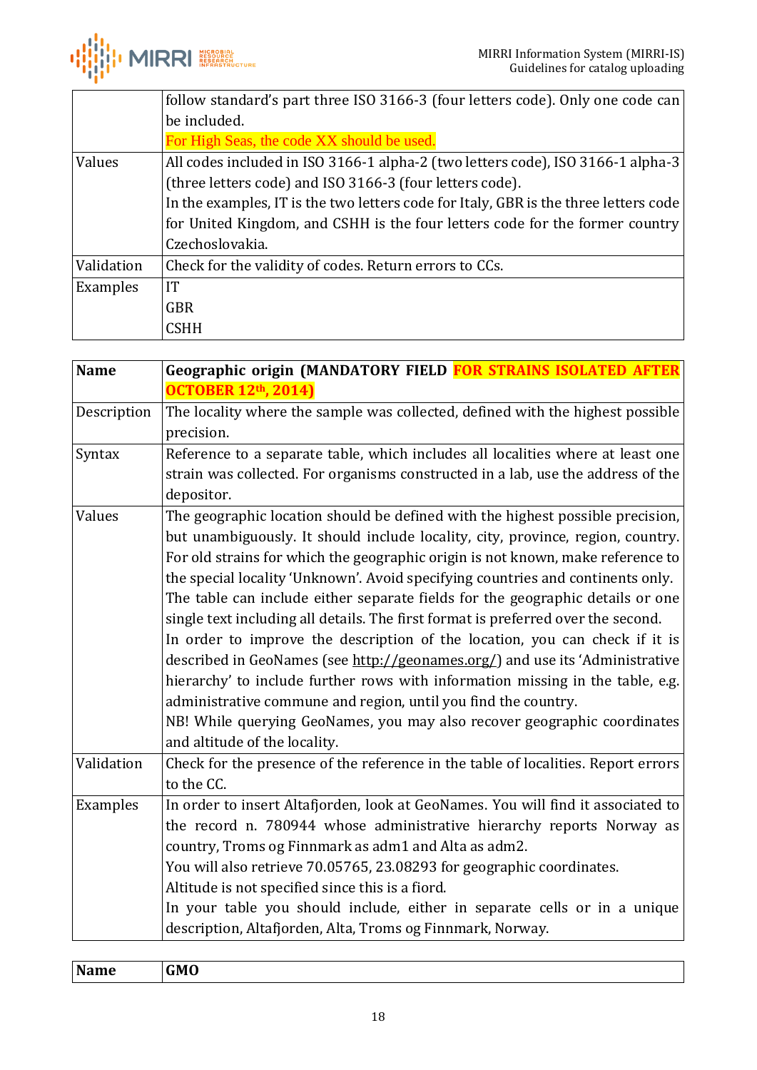

|            | follow standard's part three ISO 3166-3 (four letters code). Only one code can       |
|------------|--------------------------------------------------------------------------------------|
|            | be included.                                                                         |
|            | For High Seas, the code XX should be used.                                           |
| Values     | All codes included in ISO 3166-1 alpha-2 (two letters code), ISO 3166-1 alpha-3      |
|            | (three letters code) and ISO 3166-3 (four letters code).                             |
|            | In the examples, IT is the two letters code for Italy, GBR is the three letters code |
|            | for United Kingdom, and CSHH is the four letters code for the former country         |
|            | Czechoslovakia.                                                                      |
| Validation | Check for the validity of codes. Return errors to CCs.                               |
| Examples   | IT                                                                                   |
|            | <b>GBR</b>                                                                           |
|            | CSHH                                                                                 |

<span id="page-17-0"></span>

| <b>Name</b> | Geographic origin (MANDATORY FIELD FOR STRAINS ISOLATED AFTER                     |
|-------------|-----------------------------------------------------------------------------------|
|             | <b>OCTOBER 12th, 2014)</b>                                                        |
| Description | The locality where the sample was collected, defined with the highest possible    |
|             | precision.                                                                        |
| Syntax      | Reference to a separate table, which includes all localities where at least one   |
|             | strain was collected. For organisms constructed in a lab, use the address of the  |
|             | depositor.                                                                        |
| Values      | The geographic location should be defined with the highest possible precision,    |
|             | but unambiguously. It should include locality, city, province, region, country.   |
|             | For old strains for which the geographic origin is not known, make reference to   |
|             | the special locality 'Unknown'. Avoid specifying countries and continents only.   |
|             | The table can include either separate fields for the geographic details or one    |
|             | single text including all details. The first format is preferred over the second. |
|             | In order to improve the description of the location, you can check if it is       |
|             | described in GeoNames (see http://geonames.org/) and use its 'Administrative      |
|             | hierarchy' to include further rows with information missing in the table, e.g.    |
|             | administrative commune and region, until you find the country.                    |
|             | NB! While querying GeoNames, you may also recover geographic coordinates          |
|             | and altitude of the locality.                                                     |
| Validation  | Check for the presence of the reference in the table of localities. Report errors |
|             | to the CC.                                                                        |
| Examples    | In order to insert Altafjorden, look at GeoNames. You will find it associated to  |
|             | the record n. 780944 whose administrative hierarchy reports Norway as             |
|             | country, Troms og Finnmark as adm1 and Alta as adm2.                              |
|             | You will also retrieve 70.05765, 23.08293 for geographic coordinates.             |
|             | Altitude is not specified since this is a fiord.                                  |
|             | In your table you should include, either in separate cells or in a unique         |
|             | description, Altafjorden, Alta, Troms og Finnmark, Norway.                        |

<span id="page-17-1"></span>

| <b>Name</b> | CMC<br>-- |
|-------------|-----------|
|             |           |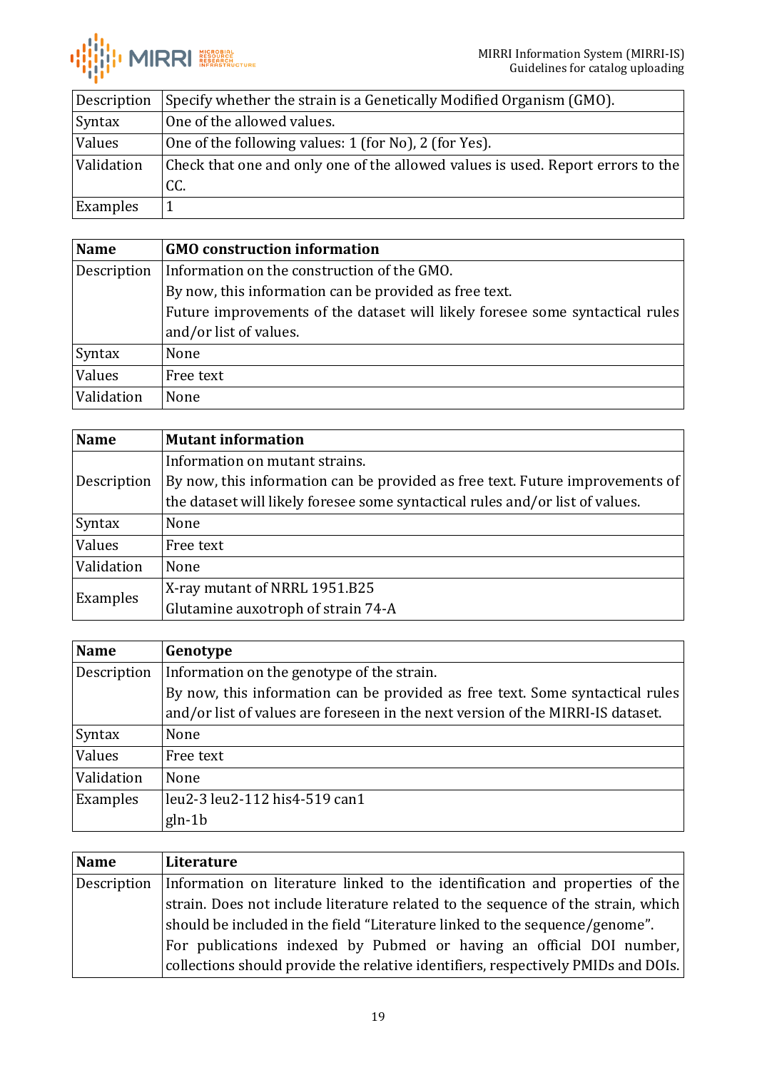

| Description | Specify whether the strain is a Genetically Modified Organism (GMO).            |
|-------------|---------------------------------------------------------------------------------|
| Syntax      | One of the allowed values.                                                      |
| Values      | One of the following values: 1 (for No), 2 (for Yes).                           |
| Validation  | Check that one and only one of the allowed values is used. Report errors to the |
|             | CC.                                                                             |
| Examples    |                                                                                 |

<span id="page-18-0"></span>

| <b>Name</b> | <b>GMO</b> construction information                                           |
|-------------|-------------------------------------------------------------------------------|
| Description | Information on the construction of the GMO.                                   |
|             | By now, this information can be provided as free text.                        |
|             | Future improvements of the dataset will likely foresee some syntactical rules |
|             | and/or list of values.                                                        |
| Syntax      | None                                                                          |
| Values      | Free text                                                                     |
| Validation  | None                                                                          |

<span id="page-18-1"></span>

| <b>Name</b> | <b>Mutant information</b>                                                     |
|-------------|-------------------------------------------------------------------------------|
| Description | Information on mutant strains.                                                |
|             | By now, this information can be provided as free text. Future improvements of |
|             | the dataset will likely foresee some syntactical rules and/or list of values. |
| Syntax      | None                                                                          |
| Values      | Free text                                                                     |
| Validation  | None                                                                          |
| Examples    | X-ray mutant of NRRL 1951.B25                                                 |
|             | Glutamine auxotroph of strain 74-A                                            |

<span id="page-18-2"></span>

| <b>Name</b> | Genotype                                                                        |
|-------------|---------------------------------------------------------------------------------|
| Description | Information on the genotype of the strain.                                      |
|             | By now, this information can be provided as free text. Some syntactical rules   |
|             | and/or list of values are foreseen in the next version of the MIRRI-IS dataset. |
| Syntax      | None                                                                            |
| Values      | Free text                                                                       |
| Validation  | None                                                                            |
| Examples    | leu2-3 leu2-112 his4-519 can1                                                   |
|             | $gln-1b$                                                                        |

<span id="page-18-3"></span>

| Name        | Literature                                                                        |
|-------------|-----------------------------------------------------------------------------------|
| Description | Information on literature linked to the identification and properties of the      |
|             | strain. Does not include literature related to the sequence of the strain, which  |
|             | should be included in the field "Literature linked to the sequence/genome".       |
|             | For publications indexed by Pubmed or having an official DOI number,              |
|             | collections should provide the relative identifiers, respectively PMIDs and DOIs. |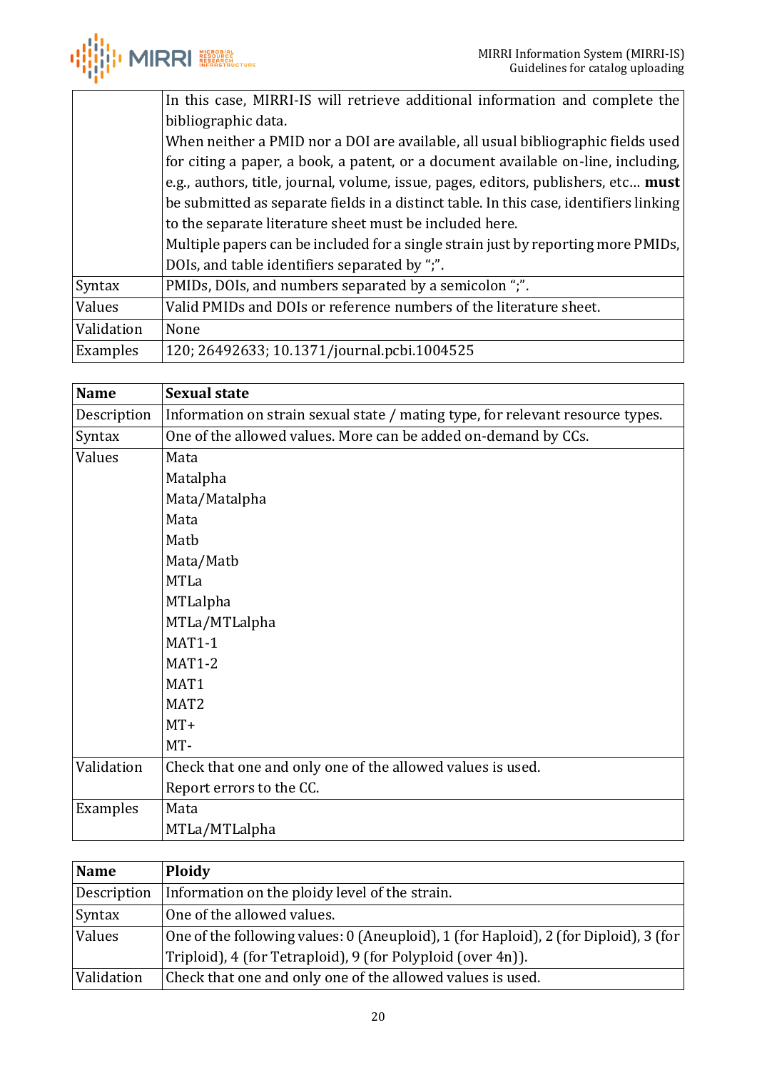

|            | In this case, MIRRI-IS will retrieve additional information and complete the           |
|------------|----------------------------------------------------------------------------------------|
|            | bibliographic data.                                                                    |
|            | When neither a PMID nor a DOI are available, all usual bibliographic fields used       |
|            | for citing a paper, a book, a patent, or a document available on-line, including,      |
|            | e.g., authors, title, journal, volume, issue, pages, editors, publishers, etc must     |
|            | be submitted as separate fields in a distinct table. In this case, identifiers linking |
|            | to the separate literature sheet must be included here.                                |
|            | Multiple papers can be included for a single strain just by reporting more PMIDs,      |
|            | DOIs, and table identifiers separated by ";".                                          |
| Syntax     | PMIDs, DOIs, and numbers separated by a semicolon ";".                                 |
| Values     | Valid PMIDs and DOIs or reference numbers of the literature sheet.                     |
| Validation | None                                                                                   |
| Examples   | 120; 26492633; 10.1371/journal.pcbi.1004525                                            |

<span id="page-19-0"></span>

| <b>Name</b> | <b>Sexual state</b>                                                            |
|-------------|--------------------------------------------------------------------------------|
| Description | Information on strain sexual state / mating type, for relevant resource types. |
| Syntax      | One of the allowed values. More can be added on-demand by CCs.                 |
| Values      | Mata                                                                           |
|             | Matalpha                                                                       |
|             | Mata/Matalpha                                                                  |
|             | Mata                                                                           |
|             | Matb                                                                           |
|             | Mata/Matb                                                                      |
|             | <b>MTLa</b>                                                                    |
|             | MTLalpha                                                                       |
|             | MTLa/MTLalpha                                                                  |
|             | <b>MAT1-1</b>                                                                  |
|             | <b>MAT1-2</b>                                                                  |
|             | MAT1                                                                           |
|             | MAT <sub>2</sub>                                                               |
|             | $MT+$                                                                          |
|             | MT-                                                                            |
| Validation  | Check that one and only one of the allowed values is used.                     |
|             | Report errors to the CC.                                                       |
| Examples    | Mata                                                                           |
|             | MTLa/MTLalpha                                                                  |

<span id="page-19-1"></span>

| Name        | <b>Ploidy</b>                                                                        |
|-------------|--------------------------------------------------------------------------------------|
| Description | Information on the ploidy level of the strain.                                       |
| Syntax      | One of the allowed values.                                                           |
| Values      | One of the following values: 0 (Aneuploid), 1 (for Haploid), 2 (for Diploid), 3 (for |
|             | Triploid), 4 (for Tetraploid), 9 (for Polyploid (over 4n)).                          |
| Validation  | Check that one and only one of the allowed values is used.                           |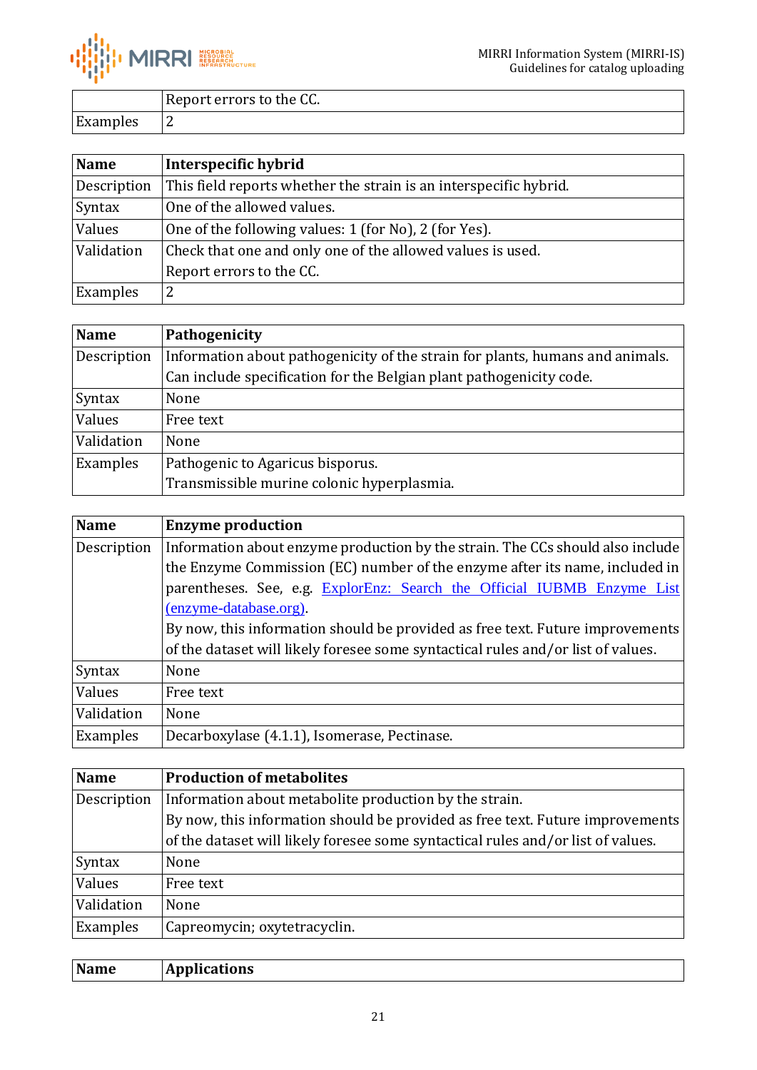

|          | Report errors to the CC. |
|----------|--------------------------|
| Examples |                          |

<span id="page-20-0"></span>

| <b>Name</b> | Interspecific hybrid                                              |
|-------------|-------------------------------------------------------------------|
| Description | This field reports whether the strain is an interspecific hybrid. |
| Syntax      | One of the allowed values.                                        |
| Values      | One of the following values: 1 (for No), 2 (for Yes).             |
| Validation  | Check that one and only one of the allowed values is used.        |
|             | Report errors to the CC.                                          |
| Examples    | 2                                                                 |

<span id="page-20-1"></span>

| <b>Name</b> | Pathogenicity                                                                 |
|-------------|-------------------------------------------------------------------------------|
| Description | Information about pathogenicity of the strain for plants, humans and animals. |
|             | Can include specification for the Belgian plant pathogenicity code.           |
| Syntax      | None                                                                          |
| Values      | Free text                                                                     |
| Validation  | None                                                                          |
| Examples    | Pathogenic to Agaricus bisporus.                                              |
|             | Transmissible murine colonic hyperplasmia.                                    |

<span id="page-20-2"></span>

| <b>Name</b> | <b>Enzyme production</b>                                                         |
|-------------|----------------------------------------------------------------------------------|
| Description | Information about enzyme production by the strain. The CCs should also include   |
|             | the Enzyme Commission (EC) number of the enzyme after its name, included in      |
|             | parentheses. See, e.g. ExplorEnz: Search the Official IUBMB Enzyme List          |
|             | (enzyme-database.org).                                                           |
|             | By now, this information should be provided as free text. Future improvements    |
|             | of the dataset will likely foresee some syntactical rules and/or list of values. |
| Syntax      | None                                                                             |
| Values      | Free text                                                                        |
| Validation  | None                                                                             |
| Examples    | Decarboxylase (4.1.1), Isomerase, Pectinase.                                     |

<span id="page-20-3"></span>

| <b>Name</b> | <b>Production of metabolites</b>                                                 |
|-------------|----------------------------------------------------------------------------------|
| Description | Information about metabolite production by the strain.                           |
|             | By now, this information should be provided as free text. Future improvements    |
|             | of the dataset will likely foresee some syntactical rules and/or list of values. |
| Syntax      | None                                                                             |
| Values      | Free text                                                                        |
| Validation  | None                                                                             |
| Examples    | Capreomycin; oxytetracyclin.                                                     |

<span id="page-20-4"></span>

| Name<br><b>Applications</b> |
|-----------------------------|
|-----------------------------|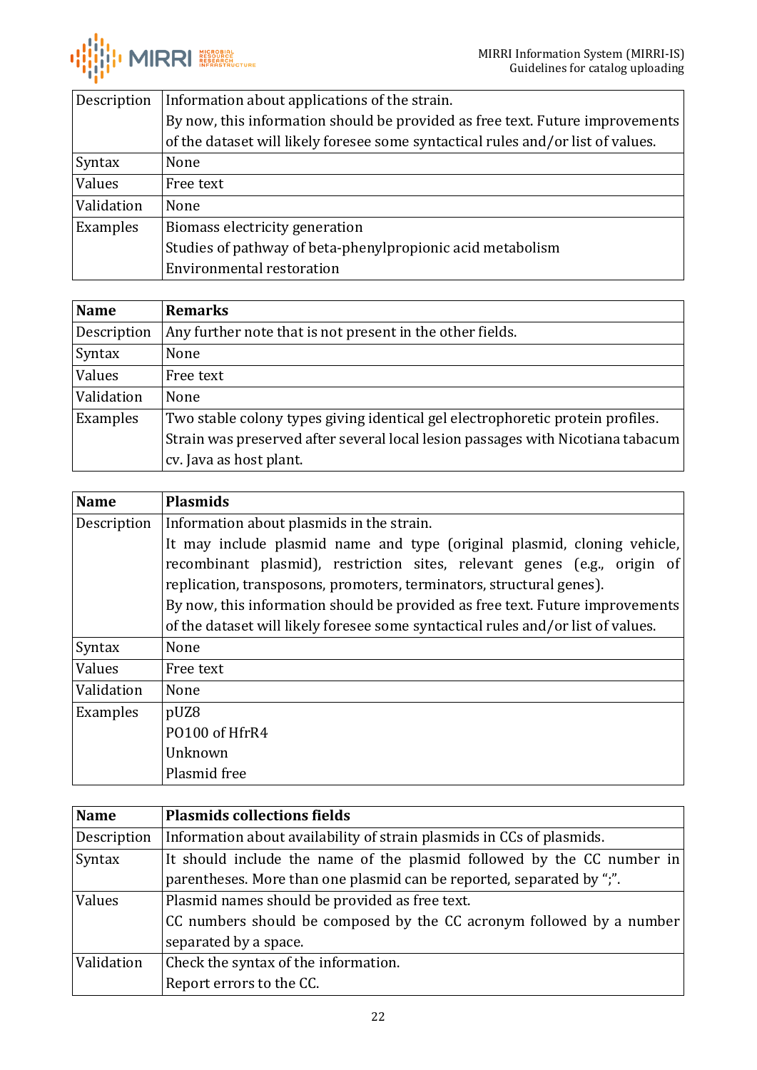

| Description | Information about applications of the strain.                                    |
|-------------|----------------------------------------------------------------------------------|
|             | By now, this information should be provided as free text. Future improvements    |
|             | of the dataset will likely foresee some syntactical rules and/or list of values. |
| Syntax      | None                                                                             |
| Values      | Free text                                                                        |
| Validation  | None                                                                             |
| Examples    | Biomass electricity generation                                                   |
|             | Studies of pathway of beta-phenylpropionic acid metabolism                       |
|             | Environmental restoration                                                        |

<span id="page-21-0"></span>

| <b>Name</b> | <b>Remarks</b>                                                                  |
|-------------|---------------------------------------------------------------------------------|
| Description | Any further note that is not present in the other fields.                       |
| Syntax      | None                                                                            |
| Values      | Free text                                                                       |
| Validation  | None                                                                            |
| Examples    | Two stable colony types giving identical gel electrophoretic protein profiles.  |
|             | Strain was preserved after several local lesion passages with Nicotiana tabacum |
|             | cv. Java as host plant.                                                         |

<span id="page-21-1"></span>

| <b>Name</b> | <b>Plasmids</b>                                                                  |
|-------------|----------------------------------------------------------------------------------|
| Description | Information about plasmids in the strain.                                        |
|             | It may include plasmid name and type (original plasmid, cloning vehicle,         |
|             | recombinant plasmid), restriction sites, relevant genes (e.g., origin of         |
|             | replication, transposons, promoters, terminators, structural genes).             |
|             | By now, this information should be provided as free text. Future improvements    |
|             | of the dataset will likely foresee some syntactical rules and/or list of values. |
| Syntax      | None                                                                             |
| Values      | Free text                                                                        |
| Validation  | None                                                                             |
| Examples    | pUZ8                                                                             |
|             | PO100 of HfrR4                                                                   |
|             | Unknown                                                                          |
|             | Plasmid free                                                                     |

<span id="page-21-2"></span>

| Name        | <b>Plasmids collections fields</b>                                     |
|-------------|------------------------------------------------------------------------|
| Description | Information about availability of strain plasmids in CCs of plasmids.  |
| Syntax      | It should include the name of the plasmid followed by the CC number in |
|             | parentheses. More than one plasmid can be reported, separated by ";".  |
| Values      | Plasmid names should be provided as free text.                         |
|             | CC numbers should be composed by the CC acronym followed by a number   |
|             | separated by a space.                                                  |
| Validation  | Check the syntax of the information.                                   |
|             | Report errors to the CC.                                               |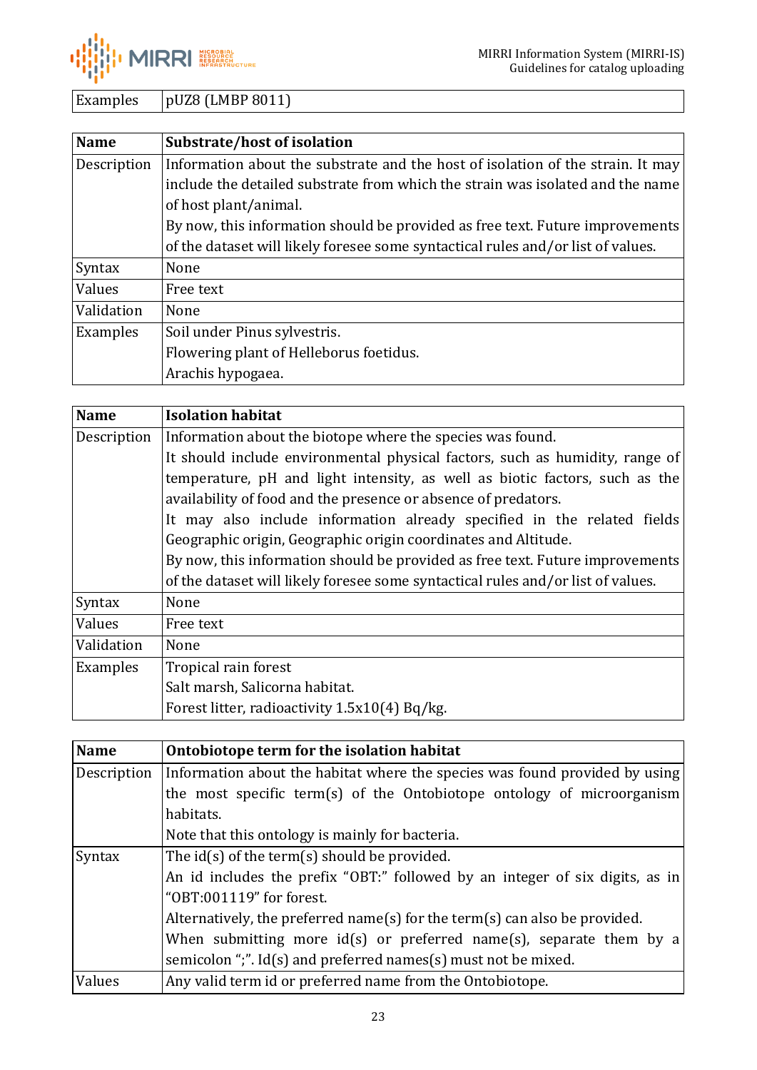

Examples | pUZ8 (LMBP 8011)

<span id="page-22-0"></span>

| <b>Name</b> | Substrate/host of isolation                                                      |
|-------------|----------------------------------------------------------------------------------|
| Description | Information about the substrate and the host of isolation of the strain. It may  |
|             | include the detailed substrate from which the strain was isolated and the name   |
|             | of host plant/animal.                                                            |
|             | By now, this information should be provided as free text. Future improvements    |
|             | of the dataset will likely foresee some syntactical rules and/or list of values. |
| Syntax      | None                                                                             |
| Values      | Free text                                                                        |
| Validation  | None                                                                             |
| Examples    | Soil under Pinus sylvestris.                                                     |
|             | Flowering plant of Helleborus foetidus.                                          |
|             | Arachis hypogaea.                                                                |

<span id="page-22-1"></span>

| <b>Name</b> | <b>Isolation habitat</b>                                                         |
|-------------|----------------------------------------------------------------------------------|
| Description | Information about the biotope where the species was found.                       |
|             | It should include environmental physical factors, such as humidity, range of     |
|             | temperature, pH and light intensity, as well as biotic factors, such as the      |
|             | availability of food and the presence or absence of predators.                   |
|             | It may also include information already specified in the related fields          |
|             | Geographic origin, Geographic origin coordinates and Altitude.                   |
|             | By now, this information should be provided as free text. Future improvements    |
|             | of the dataset will likely foresee some syntactical rules and/or list of values. |
| Syntax      | None                                                                             |
| Values      | Free text                                                                        |
| Validation  | None                                                                             |
| Examples    | Tropical rain forest                                                             |
|             | Salt marsh, Salicorna habitat.                                                   |
|             | Forest litter, radioactivity 1.5x10(4) Bq/kg.                                    |

<span id="page-22-2"></span>

| <b>Name</b> | Ontobiotope term for the isolation habitat                                   |
|-------------|------------------------------------------------------------------------------|
| Description | Information about the habitat where the species was found provided by using  |
|             | the most specific term(s) of the Ontobiotope ontology of microorganism       |
|             | habitats.                                                                    |
|             | Note that this ontology is mainly for bacteria.                              |
| Syntax      | The $id(s)$ of the term(s) should be provided.                               |
|             | An id includes the prefix "OBT:" followed by an integer of six digits, as in |
|             | "OBT:001119" for forest.                                                     |
|             | Alternatively, the preferred name(s) for the term(s) can also be provided.   |
|             | When submitting more $id(s)$ or preferred name(s), separate them by a        |
|             | semicolon ";". Id(s) and preferred names(s) must not be mixed.               |
| Values      | Any valid term id or preferred name from the Ontobiotope.                    |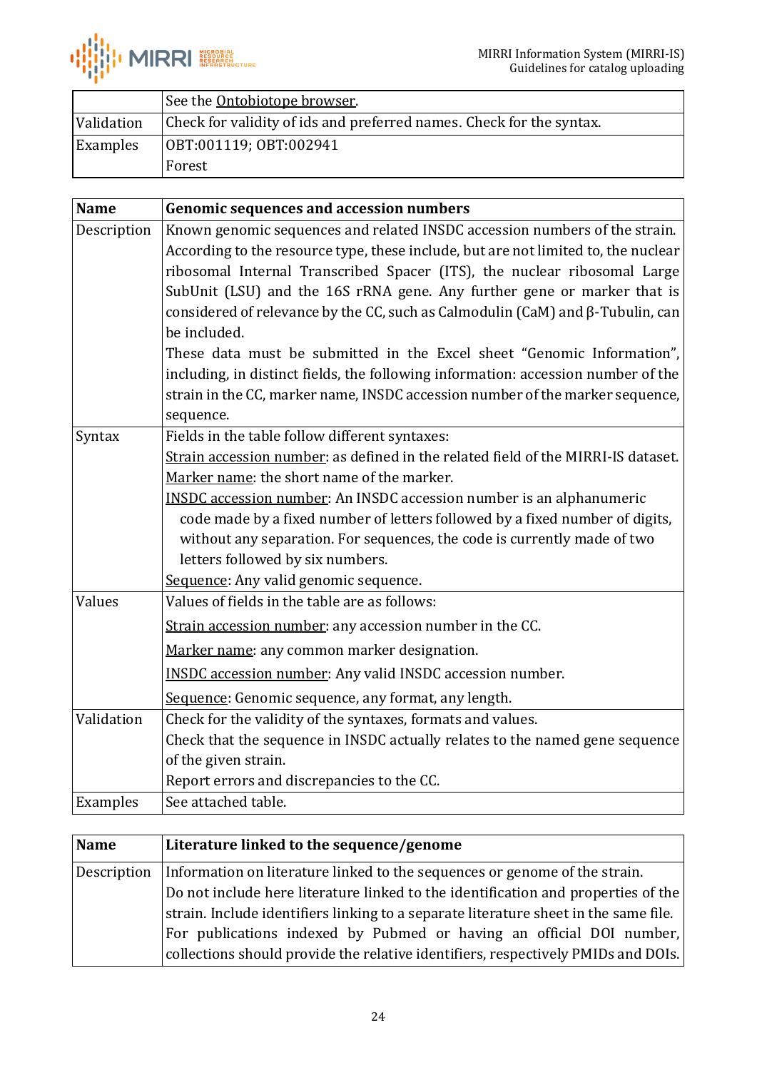

|            | See the Ontobiotope browser.                                         |
|------------|----------------------------------------------------------------------|
| Validation | Check for validity of ids and preferred names. Check for the syntax. |
| Examples   | OBT:001119; OBT:002941                                               |
|            | Forest                                                               |

<span id="page-23-0"></span>

| <b>Name</b> | <b>Genomic sequences and accession numbers</b>                                        |
|-------------|---------------------------------------------------------------------------------------|
| Description | Known genomic sequences and related INSDC accession numbers of the strain.            |
|             | According to the resource type, these include, but are not limited to, the nuclear    |
|             | ribosomal Internal Transcribed Spacer (ITS), the nuclear ribosomal Large              |
|             | SubUnit (LSU) and the 16S rRNA gene. Any further gene or marker that is               |
|             | considered of relevance by the CC, such as Calmodulin (CaM) and $\beta$ -Tubulin, can |
|             | be included.                                                                          |
|             | These data must be submitted in the Excel sheet "Genomic Information",                |
|             | including, in distinct fields, the following information: accession number of the     |
|             | strain in the CC, marker name, INSDC accession number of the marker sequence,         |
|             | sequence.                                                                             |
| Syntax      | Fields in the table follow different syntaxes:                                        |
|             | Strain accession number: as defined in the related field of the MIRRI-IS dataset.     |
|             | Marker name: the short name of the marker.                                            |
|             | <b>INSDC</b> accession number: An INSDC accession number is an alphanumeric           |
|             | code made by a fixed number of letters followed by a fixed number of digits,          |
|             | without any separation. For sequences, the code is currently made of two              |
|             | letters followed by six numbers.                                                      |
|             | Sequence: Any valid genomic sequence.                                                 |
| Values      | Values of fields in the table are as follows:                                         |
|             | Strain accession number: any accession number in the CC.                              |
|             | Marker name: any common marker designation.                                           |
|             | <b>INSDC</b> accession number: Any valid INSDC accession number.                      |
|             | Sequence: Genomic sequence, any format, any length.                                   |
| Validation  | Check for the validity of the syntaxes, formats and values.                           |
|             | Check that the sequence in INSDC actually relates to the named gene sequence          |
|             | of the given strain.                                                                  |
|             | Report errors and discrepancies to the CC.                                            |
| Examples    | See attached table.                                                                   |

<span id="page-23-1"></span>

| Name        | Literature linked to the sequence/genome                                             |
|-------------|--------------------------------------------------------------------------------------|
| Description | Information on literature linked to the sequences or genome of the strain.           |
|             | Do not include here literature linked to the identification and properties of the    |
|             | strain. Include identifiers linking to a separate literature sheet in the same file. |
|             | For publications indexed by Pubmed or having an official DOI number,                 |
|             | collections should provide the relative identifiers, respectively PMIDs and DOIs.    |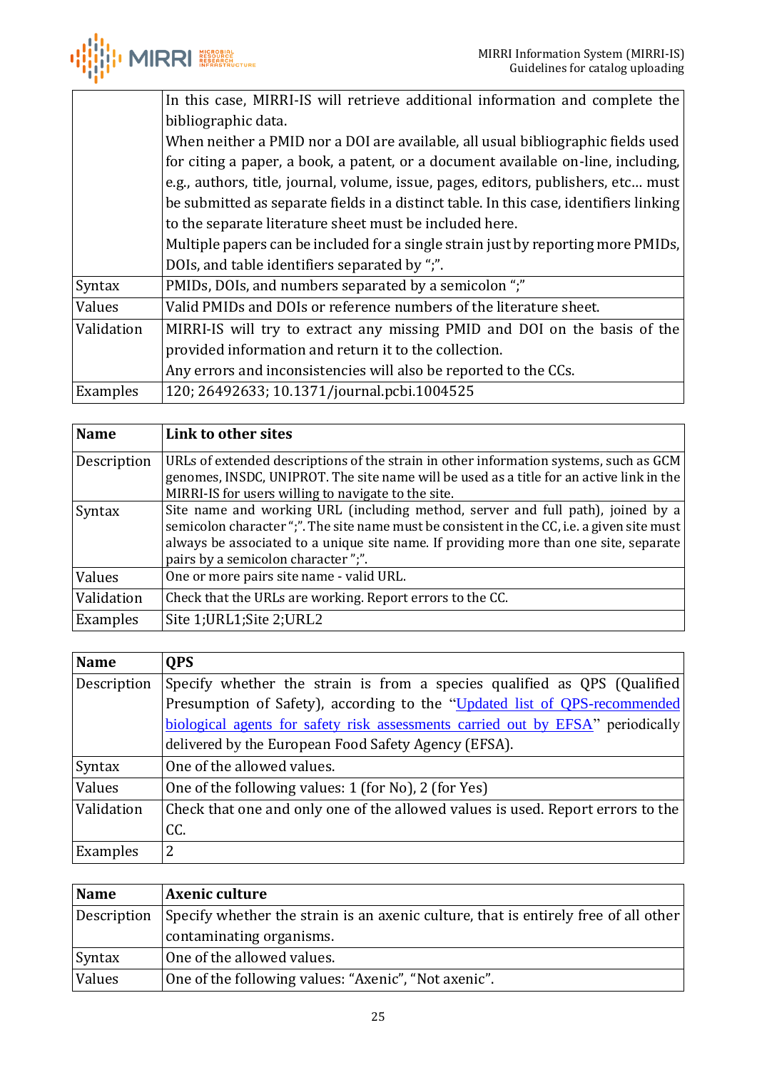

|            | In this case, MIRRI-IS will retrieve additional information and complete the           |
|------------|----------------------------------------------------------------------------------------|
|            | bibliographic data.                                                                    |
|            | When neither a PMID nor a DOI are available, all usual bibliographic fields used       |
|            | for citing a paper, a book, a patent, or a document available on-line, including,      |
|            | e.g., authors, title, journal, volume, issue, pages, editors, publishers, etc must     |
|            | be submitted as separate fields in a distinct table. In this case, identifiers linking |
|            | to the separate literature sheet must be included here.                                |
|            | Multiple papers can be included for a single strain just by reporting more PMIDs,      |
|            | DOIs, and table identifiers separated by ";".                                          |
| Syntax     | PMIDs, DOIs, and numbers separated by a semicolon ";"                                  |
| Values     | Valid PMIDs and DOIs or reference numbers of the literature sheet.                     |
| Validation | MIRRI-IS will try to extract any missing PMID and DOI on the basis of the              |
|            | provided information and return it to the collection.                                  |
|            | Any errors and inconsistencies will also be reported to the CCs.                       |
| Examples   | 120; 26492633; 10.1371/journal.pcbi.1004525                                            |

<span id="page-24-0"></span>

| <b>Name</b> | Link to other sites                                                                                                                                                                                                                                                                                           |
|-------------|---------------------------------------------------------------------------------------------------------------------------------------------------------------------------------------------------------------------------------------------------------------------------------------------------------------|
| Description | URLs of extended descriptions of the strain in other information systems, such as GCM<br>genomes, INSDC, UNIPROT. The site name will be used as a title for an active link in the<br>MIRRI-IS for users willing to navigate to the site.                                                                      |
| Syntax      | Site name and working URL (including method, server and full path), joined by a<br>semicolon character ";". The site name must be consistent in the CC, i.e. a given site must<br>always be associated to a unique site name. If providing more than one site, separate<br>pairs by a semicolon character";". |
| Values      | One or more pairs site name - valid URL.                                                                                                                                                                                                                                                                      |
| Validation  | Check that the URLs are working. Report errors to the CC.                                                                                                                                                                                                                                                     |
| Examples    | Site 1; URL1; Site 2; URL2                                                                                                                                                                                                                                                                                    |

<span id="page-24-1"></span>

| <b>Name</b> | <b>QPS</b>                                                                      |
|-------------|---------------------------------------------------------------------------------|
| Description | Specify whether the strain is from a species qualified as QPS (Qualified)       |
|             | Presumption of Safety), according to the "Updated list of QPS-recommended       |
|             | biological agents for safety risk assessments carried out by EFSA" periodically |
|             | delivered by the European Food Safety Agency (EFSA).                            |
| Syntax      | One of the allowed values.                                                      |
| Values      | One of the following values: 1 (for No), 2 (for Yes)                            |
| Validation  | Check that one and only one of the allowed values is used. Report errors to the |
|             | CC.                                                                             |
| Examples    | 2                                                                               |

<span id="page-24-2"></span>

| <b>Name</b> | <b>Axenic culture</b>                                                               |
|-------------|-------------------------------------------------------------------------------------|
| Description | Specify whether the strain is an axenic culture, that is entirely free of all other |
|             | contaminating organisms.                                                            |
| Syntax      | One of the allowed values.                                                          |
| Values      | One of the following values: "Axenic", "Not axenic".                                |